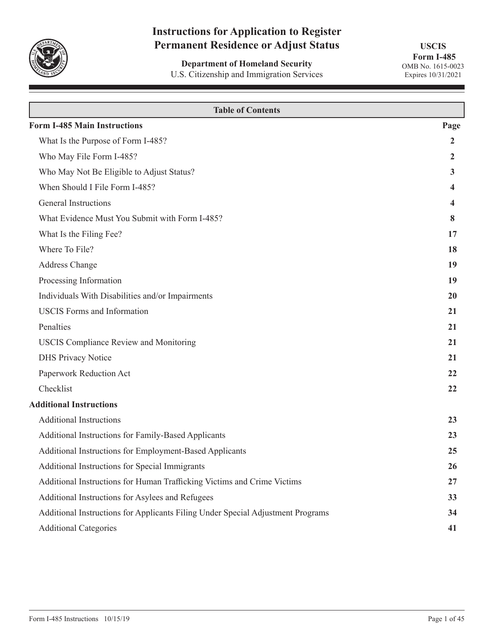

# **Instructions for Application to Register Permanent Residence or Adjust Status**

**Department of Homeland Security** U.S. Citizenship and Immigration Services

**USCIS Form I-485** OMB No. 1615-0023 Expires 10/31/2021

| <b>Table of Contents</b>                                                        |                |  |  |  |  |  |  |
|---------------------------------------------------------------------------------|----------------|--|--|--|--|--|--|
| <b>Form I-485 Main Instructions</b>                                             | Page           |  |  |  |  |  |  |
| What Is the Purpose of Form I-485?                                              | $\overline{2}$ |  |  |  |  |  |  |
| Who May File Form I-485?                                                        | 2              |  |  |  |  |  |  |
| Who May Not Be Eligible to Adjust Status?                                       | 3              |  |  |  |  |  |  |
| When Should I File Form I-485?                                                  | 4              |  |  |  |  |  |  |
| General Instructions                                                            | 4              |  |  |  |  |  |  |
| What Evidence Must You Submit with Form I-485?                                  | 8              |  |  |  |  |  |  |
| What Is the Filing Fee?                                                         | 17             |  |  |  |  |  |  |
| Where To File?                                                                  | 18             |  |  |  |  |  |  |
| Address Change                                                                  | 19             |  |  |  |  |  |  |
| Processing Information                                                          | 19             |  |  |  |  |  |  |
| Individuals With Disabilities and/or Impairments                                | 20             |  |  |  |  |  |  |
| <b>USCIS</b> Forms and Information                                              | 21             |  |  |  |  |  |  |
| Penalties                                                                       | 21             |  |  |  |  |  |  |
| <b>USCIS Compliance Review and Monitoring</b>                                   | 21             |  |  |  |  |  |  |
| <b>DHS Privacy Notice</b>                                                       | 21             |  |  |  |  |  |  |
| Paperwork Reduction Act                                                         | 22             |  |  |  |  |  |  |
| Checklist                                                                       | 22             |  |  |  |  |  |  |
| <b>Additional Instructions</b>                                                  |                |  |  |  |  |  |  |
| <b>Additional Instructions</b>                                                  | 23             |  |  |  |  |  |  |
| Additional Instructions for Family-Based Applicants                             | 23             |  |  |  |  |  |  |
| Additional Instructions for Employment-Based Applicants                         | 25             |  |  |  |  |  |  |
| Additional Instructions for Special Immigrants                                  | 26             |  |  |  |  |  |  |
| Additional Instructions for Human Trafficking Victims and Crime Victims         | 27             |  |  |  |  |  |  |
| Additional Instructions for Asylees and Refugees                                | 33             |  |  |  |  |  |  |
| Additional Instructions for Applicants Filing Under Special Adjustment Programs | 34             |  |  |  |  |  |  |
| <b>Additional Categories</b>                                                    | 41             |  |  |  |  |  |  |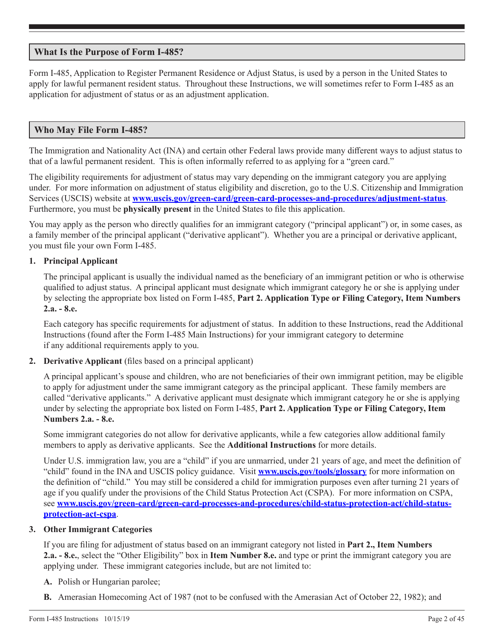## <span id="page-1-0"></span>**What Is the Purpose of Form I-485?**

Form I-485, Application to Register Permanent Residence or Adjust Status, is used by a person in the United States to apply for lawful permanent resident status. Throughout these Instructions, we will sometimes refer to Form I-485 as an application for adjustment of status or as an adjustment application.

## **Who May File Form I-485?**

The Immigration and Nationality Act (INA) and certain other Federal laws provide many different ways to adjust status to that of a lawful permanent resident. This is often informally referred to as applying for a "green card."

The eligibility requirements for adjustment of status may vary depending on the immigrant category you are applying under. For more information on adjustment of status eligibility and discretion, go to the U.S. Citizenship and Immigration Services (USCIS) website at **[www.uscis.gov/green-card/green-card-processes-and-procedures/adjustment-status](http://www.uscis.gov/green-card/green-card-processes-and-procedures/adjustment-status)**. Furthermore, you must be **physically present** in the United States to file this application.

You may apply as the person who directly qualifies for an immigrant category ("principal applicant") or, in some cases, as a family member of the principal applicant ("derivative applicant"). Whether you are a principal or derivative applicant, you must file your own Form I-485.

## **1. Principal Applicant**

The principal applicant is usually the individual named as the beneficiary of an immigrant petition or who is otherwise qualified to adjust status. A principal applicant must designate which immigrant category he or she is applying under by selecting the appropriate box listed on Form I-485, **Part 2. Application Type or Filing Category, Item Numbers 2.a. - 8.e.** 

Each category has specific requirements for adjustment of status. In addition to these Instructions, read the Additional Instructions (found after the Form I-485 Main Instructions) for your immigrant category to determine if any additional requirements apply to you.

**2. Derivative Applicant** (files based on a principal applicant)

A principal applicant's spouse and children, who are not beneficiaries of their own immigrant petition, may be eligible to apply for adjustment under the same immigrant category as the principal applicant. These family members are called "derivative applicants." A derivative applicant must designate which immigrant category he or she is applying under by selecting the appropriate box listed on Form I-485, **Part 2. Application Type or Filing Category, Item Numbers 2.a. - 8.e.**

Some immigrant categories do not allow for derivative applicants, while a few categories allow additional family members to apply as derivative applicants. See the **Additional Instructions** for more details.

Under U.S. immigration law, you are a "child" if you are unmarried, under 21 years of age, and meet the definition of "child" found in the INA and USCIS policy guidance. Visit **www.uscis.gov/tools/glossary** for more information on the definition of "child." You may still be considered a child for immigration purposes even after turning 21 years of age if you qualify under the provisions of the Child Status Protection Act (CSPA). For more information on CSPA, see **[www.uscis.gov/green-card/green-card-processes-and-procedures/child-status-protection-act/child-status](http://www.uscis.gov/green-card/green-card-processes-and-procedures/child-status-protection-act/child-status-protection-act-cspa)[protection-act-cspa](http://www.uscis.gov/green-card/green-card-processes-and-procedures/child-status-protection-act/child-status-protection-act-cspa)**.

## **3. Other Immigrant Categories**

If you are filing for adjustment of status based on an immigrant category not listed in **Part 2., Item Numbers 2.a. - 8.e.**, select the "Other Eligibility" box in **Item Number 8.e.** and type or print the immigrant category you are applying under. These immigrant categories include, but are not limited to:

- **A.** Polish or Hungarian parolee;
- **B.** Amerasian Homecoming Act of 1987 (not to be confused with the Amerasian Act of October 22, 1982); and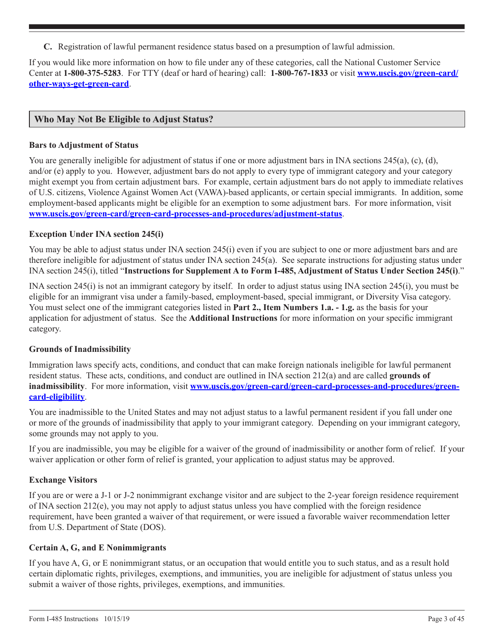<span id="page-2-0"></span>**C.** Registration of lawful permanent residence status based on a presumption of lawful admission.

If you would like more information on how to file under any of these categories, call the National Customer Service Center at **1-800-375-5283**. For TTY (deaf or hard of hearing) call: **1-800-767-1833** or visit **[www.uscis.gov/green-card/](http://www.uscis.gov/green-card/other-ways-get-green-card) [other-ways-get-green-card](http://www.uscis.gov/green-card/other-ways-get-green-card)**.

## **Who May Not Be Eligible to Adjust Status?**

### **Bars to Adjustment of Status**

You are generally ineligible for adjustment of status if one or more adjustment bars in INA sections 245(a), (c), (d), and/or (e) apply to you. However, adjustment bars do not apply to every type of immigrant category and your category might exempt you from certain adjustment bars. For example, certain adjustment bars do not apply to immediate relatives of U.S. citizens, Violence Against Women Act (VAWA)-based applicants, or certain special immigrants. In addition, some employment-based applicants might be eligible for an exemption to some adjustment bars. For more information, visit **[www.uscis.gov/green-card/green-card-processes-and-procedures/adjustment-status](http://www.uscis.gov/green-card/green-card-processes-and-procedures/adjustment-status)**.

## **Exception Under INA section 245(i)**

You may be able to adjust status under INA section 245(i) even if you are subject to one or more adjustment bars and are therefore ineligible for adjustment of status under INA section 245(a). See separate instructions for adjusting status under INA section 245(i), titled "**Instructions for Supplement A to Form I-485, Adjustment of Status Under Section 245(i)**."

INA section 245(i) is not an immigrant category by itself. In order to adjust status using INA section 245(i), you must be eligible for an immigrant visa under a family-based, employment-based, special immigrant, or Diversity Visa category. You must select one of the immigrant categories listed in **Part 2., Item Numbers 1.a. - 1.g.** as the basis for your application for adjustment of status. See the **Additional Instructions** for more information on your specific immigrant category.

### **Grounds of Inadmissibility**

Immigration laws specify acts, conditions, and conduct that can make foreign nationals ineligible for lawful permanent resident status. These acts, conditions, and conduct are outlined in INA section 212(a) and are called **grounds of**  inadmissibility. For more information, visit **[www.uscis.gov/green-card/green-card-processes-and-procedures/green](http://www.uscis.gov/green-card/green-card-processes-and-procedures/green-card-eligibility)[card-eligibility](http://www.uscis.gov/green-card/green-card-processes-and-procedures/green-card-eligibility)**.

You are inadmissible to the United States and may not adjust status to a lawful permanent resident if you fall under one or more of the grounds of inadmissibility that apply to your immigrant category. Depending on your immigrant category, some grounds may not apply to you.

If you are inadmissible, you may be eligible for a waiver of the ground of inadmissibility or another form of relief. If your waiver application or other form of relief is granted, your application to adjust status may be approved.

## **Exchange Visitors**

If you are or were a J-1 or J-2 nonimmigrant exchange visitor and are subject to the 2-year foreign residence requirement of INA section 212(e), you may not apply to adjust status unless you have complied with the foreign residence requirement, have been granted a waiver of that requirement, or were issued a favorable waiver recommendation letter from U.S. Department of State (DOS).

### **Certain A, G, and E Nonimmigrants**

If you have A, G, or E nonimmigrant status, or an occupation that would entitle you to such status, and as a result hold certain diplomatic rights, privileges, exemptions, and immunities, you are ineligible for adjustment of status unless you submit a waiver of those rights, privileges, exemptions, and immunities.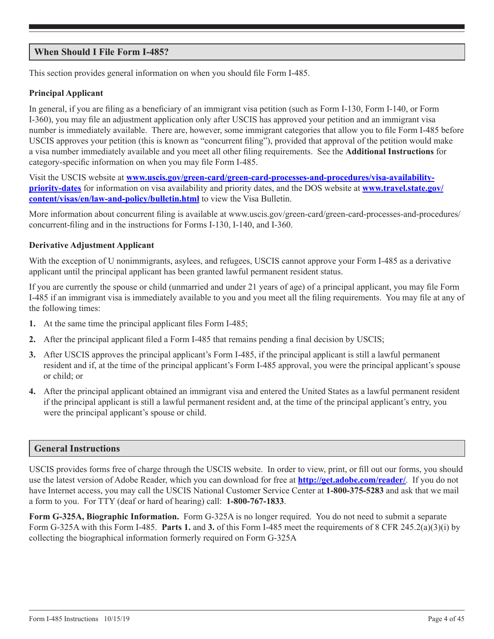## <span id="page-3-0"></span>**When Should I File Form I-485?**

This section provides general information on when you should file Form I-485.

## **Principal Applicant**

In general, if you are filing as a beneficiary of an immigrant visa petition (such as Form I-130, Form I-140, or Form I-360), you may file an adjustment application only after USCIS has approved your petition and an immigrant visa number is immediately available. There are, however, some immigrant categories that allow you to file Form I-485 before USCIS approves your petition (this is known as "concurrent filing"), provided that approval of the petition would make a visa number immediately available and you meet all other filing requirements. See the **Additional Instructions** for category-specific information on when you may file Form I-485.

Visit the USCIS website at **[www.uscis.gov/green-card/green-card-processes-and-procedures/visa-availability](http://www.uscis.gov/green-card/green-card-processes-and-procedures/visa-availability-priority-dates)[priority-dates](http://www.uscis.gov/green-card/green-card-processes-and-procedures/visa-availability-priority-dates)** for information on visa availability and priority dates, and the DOS website at **[www.travel.state.gov/](www.travel.state.gov/content/visas/en/law-and-policy/bulletin.html) [content/visas/en/law-and-policy/bulletin.html](www.travel.state.gov/content/visas/en/law-and-policy/bulletin.html)** to view the Visa Bulletin.

More information about concurrent filing is available at w[ww.uscis.gov/green-card/green-card-processes-and-procedures/](http://www.uscis.gov/green-card/green-card-processes-and-procedures/concurrent-filing) [concurrent-filing](http://www.uscis.gov/green-card/green-card-processes-and-procedures/concurrent-filing) and in the instructions for Forms I-130, I-140, and I-360.

## **Derivative Adjustment Applicant**

With the exception of U nonimmigrants, asylees, and refugees, USCIS cannot approve your Form I-485 as a derivative applicant until the principal applicant has been granted lawful permanent resident status.

If you are currently the spouse or child (unmarried and under 21 years of age) of a principal applicant, you may file Form I-485 if an immigrant visa is immediately available to you and you meet all the filing requirements. You may file at any of the following times:

- **1.** At the same time the principal applicant files Form I-485;
- **2.** After the principal applicant filed a Form I-485 that remains pending a final decision by USCIS;
- **3.** After USCIS approves the principal applicant's Form I-485, if the principal applicant is still a lawful permanent resident and if, at the time of the principal applicant's Form I-485 approval, you were the principal applicant's spouse or child; or
- **4.** After the principal applicant obtained an immigrant visa and entered the United States as a lawful permanent resident if the principal applicant is still a lawful permanent resident and, at the time of the principal applicant's entry, you were the principal applicant's spouse or child.

## **General Instructions**

USCIS provides forms free of charge through the USCIS website. In order to view, print, or fill out our forms, you should use the latest version of Adobe Reader, which you can download for free at **http://get.adobe.com/reader/**. If you do not have Internet access, you may call the USCIS National Customer Service Center at **1-800-375-5283** and ask that we mail a form to you. For TTY (deaf or hard of hearing) call: **1-800-767-1833**.

**Form G-325A, Biographic Information.** Form G-325A is no longer required. You do not need to submit a separate Form G-325A with this Form I-485. **Parts 1.** and **3.** of this Form I-485 meet the requirements of 8 CFR 245.2(a)(3)(i) by collecting the biographical information formerly required on Form G-325A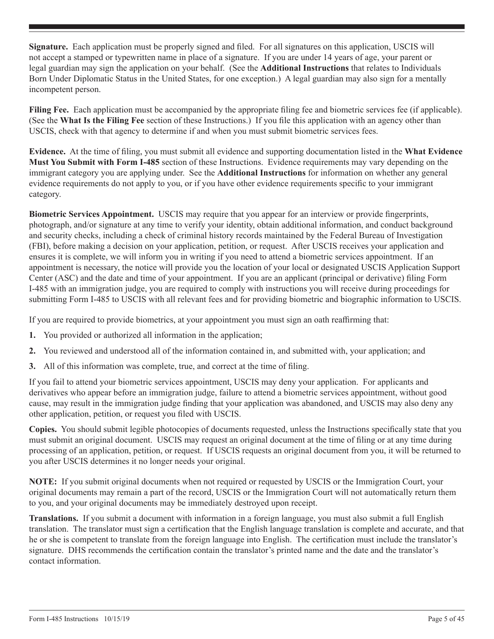**Signature.** Each application must be properly signed and filed. For all signatures on this application, USCIS will not accept a stamped or typewritten name in place of a signature. If you are under 14 years of age, your parent or legal guardian may sign the application on your behalf. (See the **Additional Instructions** that relates to Individuals Born Under Diplomatic Status in the United States, for one exception.) A legal guardian may also sign for a mentally incompetent person.

**Filing Fee.** Each application must be accompanied by the appropriate filing fee and biometric services fee (if applicable). (See the **What Is the Filing Fee** section of these Instructions.) If you file this application with an agency other than USCIS, check with that agency to determine if and when you must submit biometric services fees.

**Evidence.** At the time of filing, you must submit all evidence and supporting documentation listed in the **What Evidence Must You Submit with Form I-485** section of these Instructions. Evidence requirements may vary depending on the immigrant category you are applying under. See the **Additional Instructions** for information on whether any general evidence requirements do not apply to you, or if you have other evidence requirements specific to your immigrant category.

**Biometric Services Appointment.** USCIS may require that you appear for an interview or provide fingerprints, photograph, and/or signature at any time to verify your identity, obtain additional information, and conduct background and security checks, including a check of criminal history records maintained by the Federal Bureau of Investigation (FBI), before making a decision on your application, petition, or request. After USCIS receives your application and ensures it is complete, we will inform you in writing if you need to attend a biometric services appointment. If an appointment is necessary, the notice will provide you the location of your local or designated USCIS Application Support Center (ASC) and the date and time of your appointment. If you are an applicant (principal or derivative) filing Form I-485 with an immigration judge, you are required to comply with instructions you will receive during proceedings for submitting Form I-485 to USCIS with all relevant fees and for providing biometric and biographic information to USCIS.

If you are required to provide biometrics, at your appointment you must sign an oath reaffirming that:

- **1.** You provided or authorized all information in the application;
- **2.** You reviewed and understood all of the information contained in, and submitted with, your application; and
- **3.** All of this information was complete, true, and correct at the time of filing.

If you fail to attend your biometric services appointment, USCIS may deny your application. For applicants and derivatives who appear before an immigration judge, failure to attend a biometric services appointment, without good cause, may result in the immigration judge finding that your application was abandoned, and USCIS may also deny any other application, petition, or request you filed with USCIS.

**Copies.** You should submit legible photocopies of documents requested, unless the Instructions specifically state that you must submit an original document. USCIS may request an original document at the time of filing or at any time during processing of an application, petition, or request. If USCIS requests an original document from you, it will be returned to you after USCIS determines it no longer needs your original.

**NOTE:** If you submit original documents when not required or requested by USCIS or the Immigration Court, your original documents may remain a part of the record, USCIS or the Immigration Court will not automatically return them to you, and your original documents may be immediately destroyed upon receipt.

**Translations.** If you submit a document with information in a foreign language, you must also submit a full English translation. The translator must sign a certification that the English language translation is complete and accurate, and that he or she is competent to translate from the foreign language into English. The certification must include the translator's signature. DHS recommends the certification contain the translator's printed name and the date and the translator's contact information.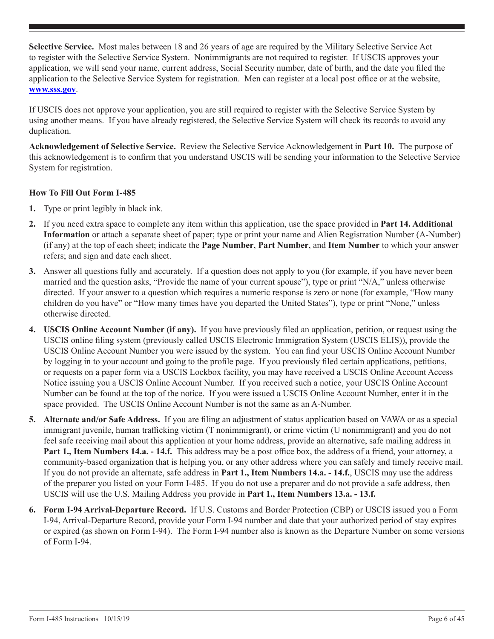**Selective Service.** Most males between 18 and 26 years of age are required by the Military Selective Service Act to register with the Selective Service System. Nonimmigrants are not required to register. If USCIS approves your application, we will send your name, current address, Social Security number, date of birth, and the date you filed the application to the Selective Service System for registration. Men can register at a local post office or at the website, **www.sss.gov**.

If USCIS does not approve your application, you are still required to register with the Selective Service System by using another means. If you have already registered, the Selective Service System will check its records to avoid any duplication.

**Acknowledgement of Selective Service.** Review the Selective Service Acknowledgement in **Part 10.** The purpose of this acknowledgement is to confirm that you understand USCIS will be sending your information to the Selective Service System for registration.

## **How To Fill Out Form I-485**

- **1.** Type or print legibly in black ink.
- **2.** If you need extra space to complete any item within this application, use the space provided in **Part 14. Additional Information** or attach a separate sheet of paper; type or print your name and Alien Registration Number (A-Number) (if any) at the top of each sheet; indicate the **Page Number**, **Part Number**, and **Item Number** to which your answer refers; and sign and date each sheet.
- **3.** Answer all questions fully and accurately. If a question does not apply to you (for example, if you have never been married and the question asks, "Provide the name of your current spouse"), type or print "N/A," unless otherwise directed. If your answer to a question which requires a numeric response is zero or none (for example, "How many children do you have" or "How many times have you departed the United States"), type or print "None," unless otherwise directed.
- **4. USCIS Online Account Number (if any).** If you have previously filed an application, petition, or request using the USCIS online filing system (previously called USCIS Electronic Immigration System (USCIS ELIS)), provide the USCIS Online Account Number you were issued by the system. You can find your USCIS Online Account Number by logging in to your account and going to the profile page. If you previously filed certain applications, petitions, or requests on a paper form via a USCIS Lockbox facility, you may have received a USCIS Online Account Access Notice issuing you a USCIS Online Account Number. If you received such a notice, your USCIS Online Account Number can be found at the top of the notice. If you were issued a USCIS Online Account Number, enter it in the space provided. The USCIS Online Account Number is not the same as an A-Number.
- **5. Alternate and/or Safe Address.** If you are filing an adjustment of status application based on VAWA or as a special immigrant juvenile, human trafficking victim (T nonimmigrant), or crime victim (U nonimmigrant) and you do not feel safe receiving mail about this application at your home address, provide an alternative, safe mailing address in **Part 1., Item Numbers 14.a. - 14.f.** This address may be a post office box, the address of a friend, your attorney, a community-based organization that is helping you, or any other address where you can safely and timely receive mail. If you do not provide an alternate, safe address in **Part 1., Item Numbers 14.a. - 14.f.**, USCIS may use the address of the preparer you listed on your Form I-485. If you do not use a preparer and do not provide a safe address, then USCIS will use the U.S. Mailing Address you provide in **Part 1., Item Numbers 13.a. - 13.f.**
- **6. Form I-94 Arrival-Departure Record.** If U.S. Customs and Border Protection (CBP) or USCIS issued you a Form I-94, Arrival-Departure Record, provide your Form I-94 number and date that your authorized period of stay expires or expired (as shown on Form I-94). The Form I-94 number also is known as the Departure Number on some versions of Form I-94.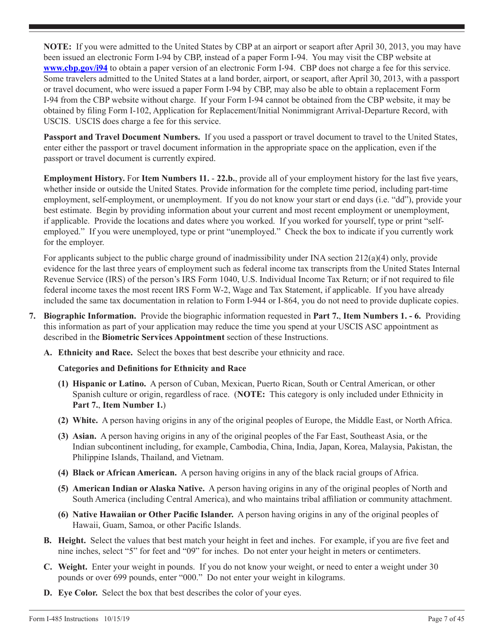**NOTE:** If you were admitted to the United States by CBP at an airport or seaport after April 30, 2013, you may have been issued an electronic Form I-94 by CBP, instead of a paper Form I-94. You may visit the CBP website at **www.cbp.gov/i94** to obtain a paper version of an electronic Form I-94. CBP does not charge a fee for this service. Some travelers admitted to the United States at a land border, airport, or seaport, after April 30, 2013, with a passport or travel document, who were issued a paper Form I-94 by CBP, may also be able to obtain a replacement Form I-94 from the CBP website without charge. If your Form I-94 cannot be obtained from the CBP website, it may be obtained by filing Form I-102, Application for Replacement/Initial Nonimmigrant Arrival-Departure Record, with USCIS. USCIS does charge a fee for this service.

**Passport and Travel Document Numbers.** If you used a passport or travel document to travel to the United States, enter either the passport or travel document information in the appropriate space on the application, even if the passport or travel document is currently expired.

**Employment History.** For **Item Numbers 11. - 22.b.**, provide all of your employment history for the last five years, whether inside or outside the United States. Provide information for the complete time period, including part-time employment, self-employment, or unemployment. If you do not know your start or end days (i.e. "dd"), provide your best estimate. Begin by providing information about your current and most recent employment or unemployment, if applicable. Provide the locations and dates where you worked. If you worked for yourself, type or print "selfemployed." If you were unemployed, type or print "unemployed." Check the box to indicate if you currently work for the employer.

For applicants subject to the public charge ground of inadmissibility under INA section 212(a)(4) only, provide evidence for the last three years of employment such as federal income tax transcripts from the United States Internal Revenue Service (IRS) of the person's IRS Form 1040, U.S. Individual Income Tax Return; or if not required to file federal income taxes the most recent IRS Form W-2, Wage and Tax Statement, if applicable. If you have already included the same tax documentation in relation to Form I-944 or I-864, you do not need to provide duplicate copies.

- **7. Biographic Information.** Provide the biographic information requested in **Part 7.**, **Item Numbers 1. 6.** Providing this information as part of your application may reduce the time you spend at your USCIS ASC appointment as described in the **Biometric Services Appointment** section of these Instructions.
	- **A. Ethnicity and Race.** Select the boxes that best describe your ethnicity and race.

## **Categories and Definitions for Ethnicity and Race**

- **(1) Hispanic or Latino.** A person of Cuban, Mexican, Puerto Rican, South or Central American, or other Spanish culture or origin, regardless of race. (**NOTE:** This category is only included under Ethnicity in **Part 7.**, **Item Number 1.**)
- **(2) White.** A person having origins in any of the original peoples of Europe, the Middle East, or North Africa.
- **(3) Asian.** A person having origins in any of the original peoples of the Far East, Southeast Asia, or the Indian subcontinent including, for example, Cambodia, China, India, Japan, Korea, Malaysia, Pakistan, the Philippine Islands, Thailand, and Vietnam.
- **(4) Black or African American.** A person having origins in any of the black racial groups of Africa.
- **(5) American Indian or Alaska Native.** A person having origins in any of the original peoples of North and South America (including Central America), and who maintains tribal affiliation or community attachment.
- **(6) Native Hawaiian or Other Pacific Islander.** A person having origins in any of the original peoples of Hawaii, Guam, Samoa, or other Pacific Islands.
- **B. Height.** Select the values that best match your height in feet and inches. For example, if you are five feet and nine inches, select "5" for feet and "09" for inches. Do not enter your height in meters or centimeters.
- **C. Weight.** Enter your weight in pounds. If you do not know your weight, or need to enter a weight under 30 pounds or over 699 pounds, enter "000." Do not enter your weight in kilograms.
- **D. Eye Color.** Select the box that best describes the color of your eyes.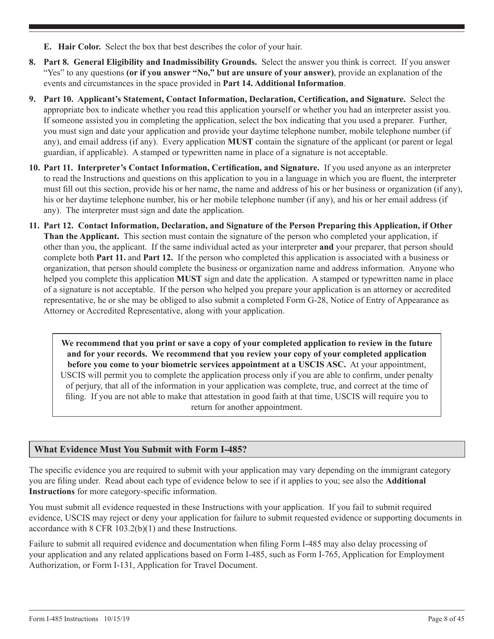- <span id="page-7-0"></span>**E. Hair Color.** Select the box that best describes the color of your hair.
- **8. Part 8. General Eligibility and Inadmissibility Grounds.** Select the answer you think is correct. If you answer "Yes" to any questions **(or if you answer "No," but are unsure of your answer)**, provide an explanation of the events and circumstances in the space provided in **Part 14. Additional Information**.
- **9. Part 10. Applicant's Statement, Contact Information, Declaration, Certification, and Signature.** Select the appropriate box to indicate whether you read this application yourself or whether you had an interpreter assist you. If someone assisted you in completing the application, select the box indicating that you used a preparer. Further, you must sign and date your application and provide your daytime telephone number, mobile telephone number (if any), and email address (if any). Every application **MUST** contain the signature of the applicant (or parent or legal guardian, if applicable). A stamped or typewritten name in place of a signature is not acceptable.
- **10. Part 11. Interpreter's Contact Information, Certification, and Signature.** If you used anyone as an interpreter to read the Instructions and questions on this application to you in a language in which you are fluent, the interpreter must fill out this section, provide his or her name, the name and address of his or her business or organization (if any), his or her daytime telephone number, his or her mobile telephone number (if any), and his or her email address (if any). The interpreter must sign and date the application.
- **11. Part 12. Contact Information, Declaration, and Signature of the Person Preparing this Application, if Other Than the Applicant.** This section must contain the signature of the person who completed your application, if other than you, the applicant. If the same individual acted as your interpreter **and** your preparer, that person should complete both **Part 11.** and **Part 12.** If the person who completed this application is associated with a business or organization, that person should complete the business or organization name and address information. Anyone who helped you complete this application **MUST** sign and date the application. A stamped or typewritten name in place of a signature is not acceptable. If the person who helped you prepare your application is an attorney or accredited representative, he or she may be obliged to also submit a completed Form G-28, Notice of Entry of Appearance as Attorney or Accredited Representative, along with your application.

**We recommend that you print or save a copy of your completed application to review in the future and for your records. We recommend that you review your copy of your completed application before you come to your biometric services appointment at a USCIS ASC.** At your appointment, USCIS will permit you to complete the application process only if you are able to confirm, under penalty of perjury, that all of the information in your application was complete, true, and correct at the time of filing. If you are not able to make that attestation in good faith at that time, USCIS will require you to return for another appointment.

## **What Evidence Must You Submit with Form I-485?**

The specific evidence you are required to submit with your application may vary depending on the immigrant category you are filing under. Read about each type of evidence below to see if it applies to you; see also the **Additional Instructions** for more category-specific information.

You must submit all evidence requested in these Instructions with your application. If you fail to submit required evidence, USCIS may reject or deny your application for failure to submit requested evidence or supporting documents in accordance with 8 CFR 103.2(b)(1) and these Instructions.

Failure to submit all required evidence and documentation when filing Form I-485 may also delay processing of your application and any related applications based on Form I-485, such as Form I-765, Application for Employment Authorization, or Form I-131, Application for Travel Document.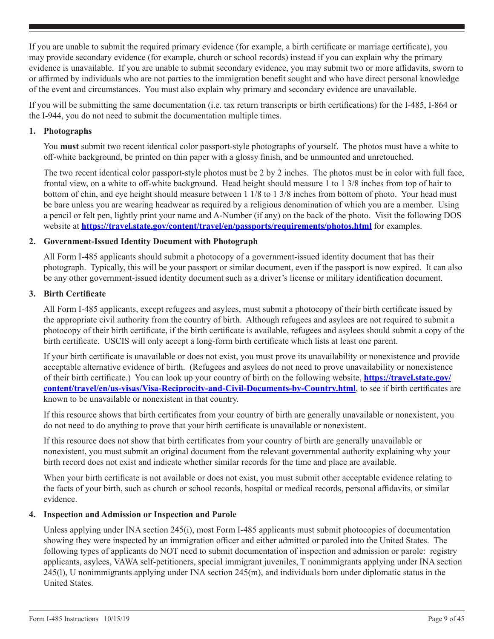If you are unable to submit the required primary evidence (for example, a birth certificate or marriage certificate), you may provide secondary evidence (for example, church or school records) instead if you can explain why the primary evidence is unavailable. If you are unable to submit secondary evidence, you may submit two or more affidavits, sworn to or affirmed by individuals who are not parties to the immigration benefit sought and who have direct personal knowledge of the event and circumstances. You must also explain why primary and secondary evidence are unavailable.

If you will be submitting the same documentation (i.e. tax return transcripts or birth certifications) for the I-485, I-864 or the I-944, you do not need to submit the documentation multiple times.

## **1. Photographs**

You **must** submit two recent identical color passport-style photographs of yourself. The photos must have a white to off-white background, be printed on thin paper with a glossy finish, and be unmounted and unretouched.

The two recent identical color passport-style photos must be 2 by 2 inches. The photos must be in color with full face, frontal view, on a white to off-white background. Head height should measure 1 to 1 3/8 inches from top of hair to bottom of chin, and eye height should measure between 1 1/8 to 1 3/8 inches from bottom of photo. Your head must be bare unless you are wearing headwear as required by a religious denomination of which you are a member. Using a pencil or felt pen, lightly print your name and A-Number (if any) on the back of the photo. Visit the following DOS website at **<https://travel.state.gov/content/travel/en/passports/requirements/photos.html>** for examples.

## **2. Government-Issued Identity Document with Photograph**

All Form I-485 applicants should submit a photocopy of a government-issued identity document that has their photograph. Typically, this will be your passport or similar document, even if the passport is now expired. It can also be any other government-issued identity document such as a driver's license or military identification document.

## **3. Birth Certificate**

All Form I-485 applicants, except refugees and asylees, must submit a photocopy of their birth certificate issued by the appropriate civil authority from the country of birth. Although refugees and asylees are not required to submit a photocopy of their birth certificate, if the birth certificate is available, refugees and asylees should submit a copy of the birth certificate. USCIS will only accept a long-form birth certificate which lists at least one parent.

If your birth certificate is unavailable or does not exist, you must prove its unavailability or nonexistence and provide acceptable alternative evidence of birth. (Refugees and asylees do not need to prove unavailability or nonexistence of their birth certificate.) You can look up your country of birth on the following website, **[https://travel.state.gov/](https://travel.state.gov/content/travel/en/us-visas/Visa-Reciprocity-and-Civil-Documents-by-Country.) [content/travel/en/us-visas/Visa-Reciprocity-and-Civil-Documents-by-Country.html](https://travel.state.gov/content/travel/en/us-visas/Visa-Reciprocity-and-Civil-Documents-by-Country.)**, to see if birth certificates are known to be unavailable or nonexistent in that country.

If this resource shows that birth certificates from your country of birth are generally unavailable or nonexistent, you do not need to do anything to prove that your birth certificate is unavailable or nonexistent.

If this resource does not show that birth certificates from your country of birth are generally unavailable or nonexistent, you must submit an original document from the relevant governmental authority explaining why your birth record does not exist and indicate whether similar records for the time and place are available.

When your birth certificate is not available or does not exist, you must submit other acceptable evidence relating to the facts of your birth, such as church or school records, hospital or medical records, personal affidavits, or similar evidence.

### **4. Inspection and Admission or Inspection and Parole**

Unless applying under INA section 245(i), most Form I-485 applicants must submit photocopies of documentation showing they were inspected by an immigration officer and either admitted or paroled into the United States. The following types of applicants do NOT need to submit documentation of inspection and admission or parole: registry applicants, asylees, VAWA self-petitioners, special immigrant juveniles, T nonimmigrants applying under INA section 245(l), U nonimmigrants applying under INA section 245(m), and individuals born under diplomatic status in the United States.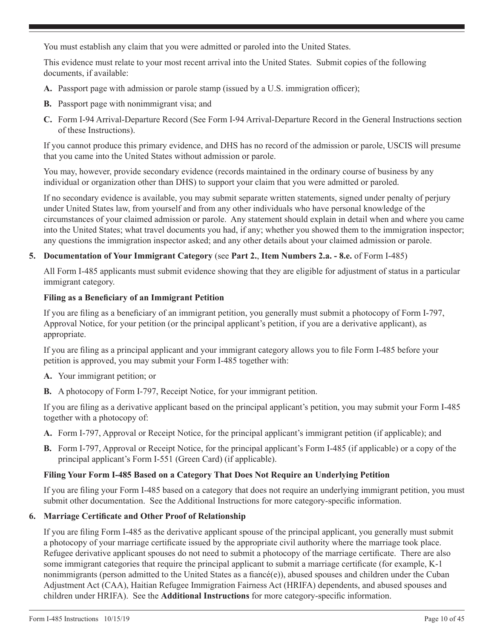You must establish any claim that you were admitted or paroled into the United States.

This evidence must relate to your most recent arrival into the United States. Submit copies of the following documents, if available:

- **A.** Passport page with admission or parole stamp (issued by a U.S. immigration officer);
- **B.** Passport page with nonimmigrant visa; and
- **C.** Form I-94 Arrival-Departure Record (See Form I-94 Arrival-Departure Record in the General Instructions section of these Instructions).

If you cannot produce this primary evidence, and DHS has no record of the admission or parole, USCIS will presume that you came into the United States without admission or parole.

You may, however, provide secondary evidence (records maintained in the ordinary course of business by any individual or organization other than DHS) to support your claim that you were admitted or paroled.

If no secondary evidence is available, you may submit separate written statements, signed under penalty of perjury under United States law, from yourself and from any other individuals who have personal knowledge of the circumstances of your claimed admission or parole. Any statement should explain in detail when and where you came into the United States; what travel documents you had, if any; whether you showed them to the immigration inspector; any questions the immigration inspector asked; and any other details about your claimed admission or parole.

## **5. Documentation of Your Immigrant Category** (see **Part 2.**, **Item Numbers 2.a. - 8.e.** of Form I-485)

All Form I-485 applicants must submit evidence showing that they are eligible for adjustment of status in a particular immigrant category.

## **Filing as a Beneficiary of an Immigrant Petition**

If you are filing as a beneficiary of an immigrant petition, you generally must submit a photocopy of Form I-797, Approval Notice, for your petition (or the principal applicant's petition, if you are a derivative applicant), as appropriate.

If you are filing as a principal applicant and your immigrant category allows you to file Form I-485 before your petition is approved, you may submit your Form I-485 together with:

- **A.** Your immigrant petition; or
- **B.** A photocopy of Form I-797, Receipt Notice, for your immigrant petition.

If you are filing as a derivative applicant based on the principal applicant's petition, you may submit your Form I-485 together with a photocopy of:

- **A.** Form I-797, Approval or Receipt Notice, for the principal applicant's immigrant petition (if applicable); and
- **B.** Form I-797, Approval or Receipt Notice, for the principal applicant's Form I-485 (if applicable) or a copy of the principal applicant's Form I-551 (Green Card) (if applicable).

## **Filing Your Form I-485 Based on a Category That Does Not Require an Underlying Petition**

If you are filing your Form I-485 based on a category that does not require an underlying immigrant petition, you must submit other documentation. See the Additional Instructions for more category-specific information.

### **6. Marriage Certificate and Other Proof of Relationship**

If you are filing Form I-485 as the derivative applicant spouse of the principal applicant, you generally must submit a photocopy of your marriage certificate issued by the appropriate civil authority where the marriage took place. Refugee derivative applicant spouses do not need to submit a photocopy of the marriage certificate. There are also some immigrant categories that require the principal applicant to submit a marriage certificate (for example, K-1 nonimmigrants (person admitted to the United States as a fiancé(e)), abused spouses and children under the Cuban Adjustment Act (CAA), Haitian Refugee Immigration Fairness Act (HRIFA) dependents, and abused spouses and children under HRIFA). See the **Additional Instructions** for more category-specific information.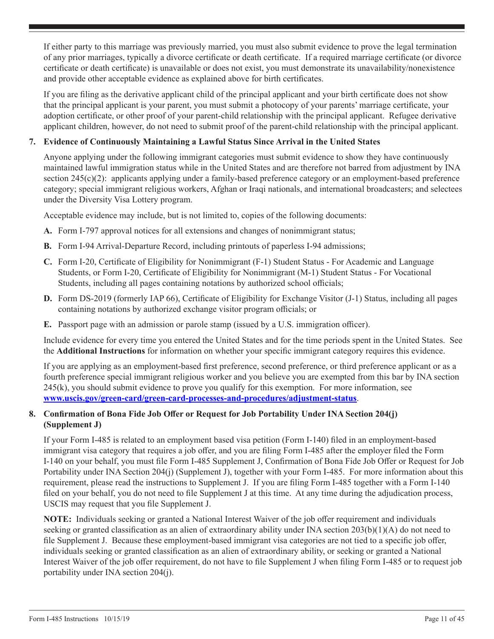If either party to this marriage was previously married, you must also submit evidence to prove the legal termination of any prior marriages, typically a divorce certificate or death certificate. If a required marriage certificate (or divorce certificate or death certificate) is unavailable or does not exist, you must demonstrate its unavailability/nonexistence and provide other acceptable evidence as explained above for birth certificates.

If you are filing as the derivative applicant child of the principal applicant and your birth certificate does not show that the principal applicant is your parent, you must submit a photocopy of your parents' marriage certificate, your adoption certificate, or other proof of your parent-child relationship with the principal applicant. Refugee derivative applicant children, however, do not need to submit proof of the parent-child relationship with the principal applicant.

## **7. Evidence of Continuously Maintaining a Lawful Status Since Arrival in the United States**

Anyone applying under the following immigrant categories must submit evidence to show they have continuously maintained lawful immigration status while in the United States and are therefore not barred from adjustment by INA section 245(c)(2): applicants applying under a family-based preference category or an employment-based preference category; special immigrant religious workers, Afghan or Iraqi nationals, and international broadcasters; and selectees under the Diversity Visa Lottery program.

Acceptable evidence may include, but is not limited to, copies of the following documents:

- **A.** Form I-797 approval notices for all extensions and changes of nonimmigrant status;
- **B.** Form I-94 Arrival-Departure Record, including printouts of paperless I-94 admissions;
- **C.** Form I-20, Certificate of Eligibility for Nonimmigrant (F-1) Student Status For Academic and Language Students, or Form I-20, Certificate of Eligibility for Nonimmigrant (M-1) Student Status - For Vocational Students, including all pages containing notations by authorized school officials;
- **D.** Form DS-2019 (formerly IAP 66), Certificate of Eligibility for Exchange Visitor (J-1) Status, including all pages containing notations by authorized exchange visitor program officials; or
- **E.** Passport page with an admission or parole stamp (issued by a U.S. immigration officer).

Include evidence for every time you entered the United States and for the time periods spent in the United States. See the **Additional Instructions** for information on whether your specific immigrant category requires this evidence.

If you are applying as an employment-based first preference, second preference, or third preference applicant or as a fourth preference special immigrant religious worker and you believe you are exempted from this bar by INA section 245(k), you should submit evidence to prove you qualify for this exemption. For more information, see **[www.uscis.gov/green-card/green-card-processes-and-procedures/adjustment-status](http://www.uscis.gov/green-card/green-card-processes-and-procedures/adjustment-status)**.

## **8. Confirmation of Bona Fide Job Offer or Request for Job Portability Under INA Section 204(j) (Supplement J)**

If your Form I-485 is related to an employment based visa petition (Form I-140) filed in an employment-based immigrant visa category that requires a job offer, and you are filing Form I-485 after the employer filed the Form I-140 on your behalf, you must file Form I-485 Supplement J, Confirmation of Bona Fide Job Offer or Request for Job Portability under INA Section 204(j) (Supplement J), together with your Form I-485. For more information about this requirement, please read the instructions to Supplement J. If you are filing Form I-485 together with a Form I-140 filed on your behalf, you do not need to file Supplement J at this time. At any time during the adjudication process, USCIS may request that you file Supplement J.

**NOTE:** Individuals seeking or granted a National Interest Waiver of the job offer requirement and individuals seeking or granted classification as an alien of extraordinary ability under INA section 203(b)(1)(A) do not need to file Supplement J. Because these employment-based immigrant visa categories are not tied to a specific job offer, individuals seeking or granted classification as an alien of extraordinary ability, or seeking or granted a National Interest Waiver of the job offer requirement, do not have to file Supplement J when filing Form I-485 or to request job portability under INA section 204(j).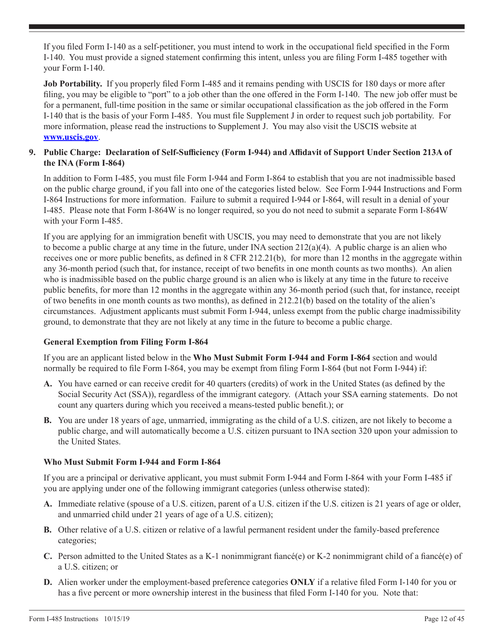If you filed Form I-140 as a self-petitioner, you must intend to work in the occupational field specified in the Form I-140. You must provide a signed statement confirming this intent, unless you are filing Form I-485 together with your Form I-140.

**Job Portability.** If you properly filed Form I-485 and it remains pending with USCIS for 180 days or more after filing, you may be eligible to "port" to a job other than the one offered in the Form I-140. The new job offer must be for a permanent, full-time position in the same or similar occupational classification as the job offered in the Form I-140 that is the basis of your Form I-485. You must file Supplement J in order to request such job portability. For more information, please read the instructions to Supplement J. You may also visit the USCIS website at **www.uscis.gov**.

## **9. Public Charge: Declaration of Self-Sufficiency (Form I-944) and Affidavit of Support Under Section 213A of the INA (Form I-864)**

In addition to Form I-485, you must file Form I-944 and Form I-864 to establish that you are not inadmissible based on the public charge ground, if you fall into one of the categories listed below. See Form I-944 Instructions and Form I-864 Instructions for more information. Failure to submit a required I-944 or I-864, will result in a denial of your I-485. Please note that Form I-864W is no longer required, so you do not need to submit a separate Form I-864W with your Form I-485.

If you are applying for an immigration benefit with USCIS, you may need to demonstrate that you are not likely to become a public charge at any time in the future, under INA section  $212(a)(4)$ . A public charge is an alien who receives one or more public benefits, as defined in 8 CFR 212.21(b), for more than 12 months in the aggregate within any 36-month period (such that, for instance, receipt of two benefits in one month counts as two months). An alien who is inadmissible based on the public charge ground is an alien who is likely at any time in the future to receive public benefits, for more than 12 months in the aggregate within any 36-month period (such that, for instance, receipt of two benefits in one month counts as two months), as defined in 212.21(b) based on the totality of the alien's circumstances. Adjustment applicants must submit Form I-944, unless exempt from the public charge inadmissibility ground, to demonstrate that they are not likely at any time in the future to become a public charge.

## **General Exemption from Filing Form I-864**

If you are an applicant listed below in the **Who Must Submit Form I-944 and Form I-864** section and would normally be required to file Form I-864, you may be exempt from filing Form I-864 (but not Form I-944) if:

- **A.** You have earned or can receive credit for 40 quarters (credits) of work in the United States (as defined by the Social Security Act (SSA)), regardless of the immigrant category. (Attach your SSA earning statements. Do not count any quarters during which you received a means-tested public benefit.); or
- **B.** You are under 18 years of age, unmarried, immigrating as the child of a U.S. citizen, are not likely to become a public charge, and will automatically become a U.S. citizen pursuant to INA section 320 upon your admission to the United States.

## **Who Must Submit Form I-944 and Form I-864**

If you are a principal or derivative applicant, you must submit Form I-944 and Form I-864 with your Form I-485 if you are applying under one of the following immigrant categories (unless otherwise stated):

- **A.** Immediate relative (spouse of a U.S. citizen, parent of a U.S. citizen if the U.S. citizen is 21 years of age or older, and unmarried child under 21 years of age of a U.S. citizen);
- **B.** Other relative of a U.S. citizen or relative of a lawful permanent resident under the family-based preference categories;
- **C.** Person admitted to the United States as a K-1 nonimmigrant fiancé(e) or K-2 nonimmigrant child of a fiancé(e) of a U.S. citizen; or
- **D.** Alien worker under the employment-based preference categories **ONLY** if a relative filed Form I-140 for you or has a five percent or more ownership interest in the business that filed Form I-140 for you. Note that: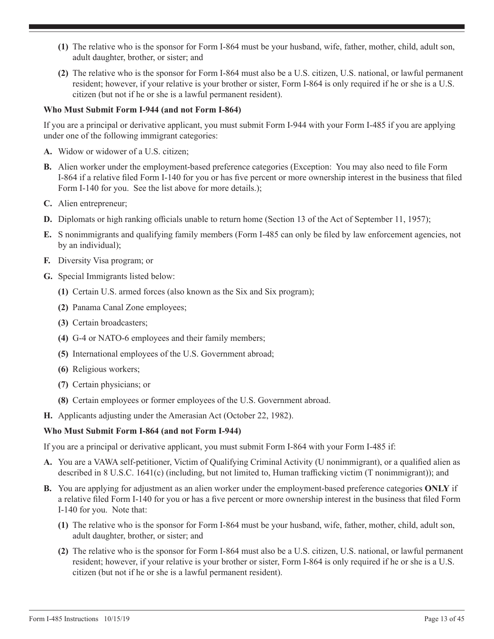- **(1)** The relative who is the sponsor for Form I-864 must be your husband, wife, father, mother, child, adult son, adult daughter, brother, or sister; and
- **(2)** The relative who is the sponsor for Form I-864 must also be a U.S. citizen, U.S. national, or lawful permanent resident; however, if your relative is your brother or sister, Form I-864 is only required if he or she is a U.S. citizen (but not if he or she is a lawful permanent resident).

## **Who Must Submit Form I-944 (and not Form I-864)**

If you are a principal or derivative applicant, you must submit Form I-944 with your Form I-485 if you are applying under one of the following immigrant categories:

- **A.** Widow or widower of a U.S. citizen;
- **B.** Alien worker under the employment-based preference categories (Exception: You may also need to file Form I-864 if a relative filed Form I-140 for you or has five percent or more ownership interest in the business that filed Form I-140 for you. See the list above for more details.);
- **C.** Alien entrepreneur;
- **D.** Diplomats or high ranking officials unable to return home (Section 13 of the Act of September 11, 1957);
- **E.** S nonimmigrants and qualifying family members (Form I-485 can only be filed by law enforcement agencies, not by an individual);
- **F.** Diversity Visa program; or
- **G.** Special Immigrants listed below:
	- **(1)** Certain U.S. armed forces (also known as the Six and Six program);
	- **(2)** Panama Canal Zone employees;
	- **(3)** Certain broadcasters;
	- **(4)** G-4 or NATO-6 employees and their family members;
	- **(5)** International employees of the U.S. Government abroad;
	- **(6)** Religious workers;
	- **(7)** Certain physicians; or
	- **(8)** Certain employees or former employees of the U.S. Government abroad.
- **H.** Applicants adjusting under the Amerasian Act (October 22, 1982).

### **Who Must Submit Form I-864 (and not Form I-944)**

If you are a principal or derivative applicant, you must submit Form I-864 with your Form I-485 if:

- **A.** You are a VAWA self-petitioner, Victim of Qualifying Criminal Activity (U nonimmigrant), or a qualified alien as described in 8 U.S.C. 1641(c) (including, but not limited to, Human trafficking victim (T nonimmigrant)); and
- **B.** You are applying for adjustment as an alien worker under the employment-based preference categories **ONLY** if a relative filed Form I-140 for you or has a five percent or more ownership interest in the business that filed Form I-140 for you. Note that:
	- **(1)** The relative who is the sponsor for Form I-864 must be your husband, wife, father, mother, child, adult son, adult daughter, brother, or sister; and
	- **(2)** The relative who is the sponsor for Form I-864 must also be a U.S. citizen, U.S. national, or lawful permanent resident; however, if your relative is your brother or sister, Form I-864 is only required if he or she is a U.S. citizen (but not if he or she is a lawful permanent resident).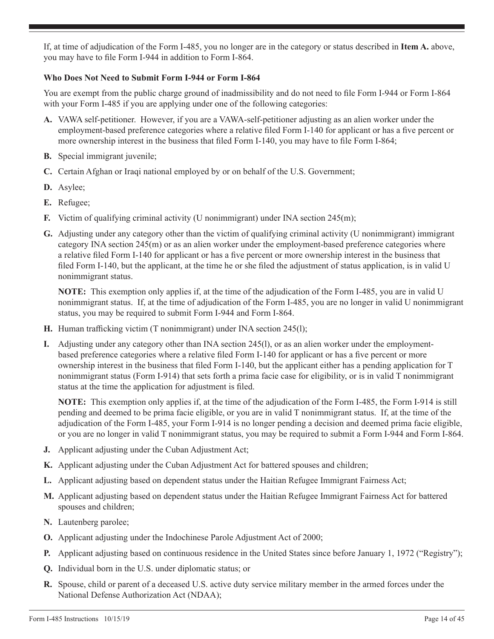If, at time of adjudication of the Form I-485, you no longer are in the category or status described in **Item A.** above, you may have to file Form I-944 in addition to Form I-864.

## **Who Does Not Need to Submit Form I-944 or Form I-864**

You are exempt from the public charge ground of inadmissibility and do not need to file Form I-944 or Form I-864 with your Form I-485 if you are applying under one of the following categories:

- **A.** VAWA self-petitioner. However, if you are a VAWA-self-petitioner adjusting as an alien worker under the employment-based preference categories where a relative filed Form I-140 for applicant or has a five percent or more ownership interest in the business that filed Form I-140, you may have to file Form I-864;
- **B.** Special immigrant juvenile;
- **C.** Certain Afghan or Iraqi national employed by or on behalf of the U.S. Government;
- **D.** Asylee;
- **E.** Refugee;
- **F.** Victim of qualifying criminal activity (U nonimmigrant) under INA section 245(m);
- **G.** Adjusting under any category other than the victim of qualifying criminal activity (U nonimmigrant) immigrant category INA section 245(m) or as an alien worker under the employment-based preference categories where a relative filed Form I-140 for applicant or has a five percent or more ownership interest in the business that filed Form I-140, but the applicant, at the time he or she filed the adjustment of status application, is in valid U nonimmigrant status.

**NOTE:** This exemption only applies if, at the time of the adjudication of the Form I-485, you are in valid U nonimmigrant status. If, at the time of adjudication of the Form I-485, you are no longer in valid U nonimmigrant status, you may be required to submit Form I-944 and Form I-864.

- **H.** Human trafficking victim (T nonimmigrant) under INA section 245(l);
- **I.** Adjusting under any category other than INA section 245(l), or as an alien worker under the employmentbased preference categories where a relative filed Form I-140 for applicant or has a five percent or more ownership interest in the business that filed Form I-140, but the applicant either has a pending application for T nonimmigrant status (Form I-914) that sets forth a prima facie case for eligibility, or is in valid T nonimmigrant status at the time the application for adjustment is filed.

**NOTE:** This exemption only applies if, at the time of the adjudication of the Form I-485, the Form I-914 is still pending and deemed to be prima facie eligible, or you are in valid T nonimmigrant status. If, at the time of the adjudication of the Form I-485, your Form I-914 is no longer pending a decision and deemed prima facie eligible, or you are no longer in valid T nonimmigrant status, you may be required to submit a Form I-944 and Form I-864.

- **J.** Applicant adjusting under the Cuban Adjustment Act;
- **K.** Applicant adjusting under the Cuban Adjustment Act for battered spouses and children;
- **L.** Applicant adjusting based on dependent status under the Haitian Refugee Immigrant Fairness Act;
- **M.** Applicant adjusting based on dependent status under the Haitian Refugee Immigrant Fairness Act for battered spouses and children;
- **N.** Lautenberg parolee;
- **O.** Applicant adjusting under the Indochinese Parole Adjustment Act of 2000;
- **P.** Applicant adjusting based on continuous residence in the United States since before January 1, 1972 ("Registry");
- **Q.** Individual born in the U.S. under diplomatic status; or
- **R.** Spouse, child or parent of a deceased U.S. active duty service military member in the armed forces under the National Defense Authorization Act (NDAA);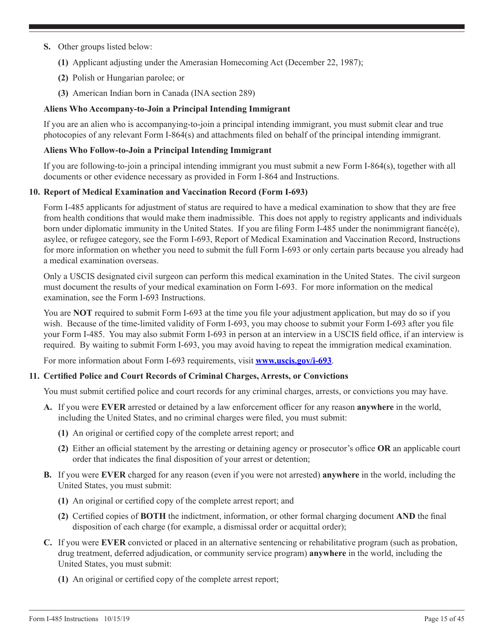- **S.** Other groups listed below:
	- **(1)** Applicant adjusting under the Amerasian Homecoming Act (December 22, 1987);
	- **(2)** Polish or Hungarian parolee; or
	- **(3)** American Indian born in Canada (INA section 289)

## **Aliens Who Accompany-to-Join a Principal Intending Immigrant**

If you are an alien who is accompanying-to-join a principal intending immigrant, you must submit clear and true photocopies of any relevant Form I-864(s) and attachments filed on behalf of the principal intending immigrant.

### **Aliens Who Follow-to-Join a Principal Intending Immigrant**

If you are following-to-join a principal intending immigrant you must submit a new Form I-864(s), together with all documents or other evidence necessary as provided in Form I-864 and Instructions.

### **10. Report of Medical Examination and Vaccination Record (Form I-693)**

Form I-485 applicants for adjustment of status are required to have a medical examination to show that they are free from health conditions that would make them inadmissible. This does not apply to registry applicants and individuals born under diplomatic immunity in the United States. If you are filing Form I-485 under the nonimmigrant fiancé(e), asylee, or refugee category, see the Form I-693, Report of Medical Examination and Vaccination Record, Instructions for more information on whether you need to submit the full Form I-693 or only certain parts because you already had a medical examination overseas.

Only a USCIS designated civil surgeon can perform this medical examination in the United States. The civil surgeon must document the results of your medical examination on Form I-693. For more information on the medical examination, see the Form I-693 Instructions.

You are **NOT** required to submit Form I-693 at the time you file your adjustment application, but may do so if you wish. Because of the time-limited validity of Form I-693, you may choose to submit your Form I-693 after you file your Form I-485. You may also submit Form I-693 in person at an interview in a USCIS field office, if an interview is required. By waiting to submit Form I-693, you may avoid having to repeat the immigration medical examination.

For more information about Form I-693 requirements, visit **www.uscis.gov/i-693**.

### **11. Certified Police and Court Records of Criminal Charges, Arrests, or Convictions**

You must submit certified police and court records for any criminal charges, arrests, or convictions you may have.

- **A.** If you were **EVER** arrested or detained by a law enforcement officer for any reason **anywhere** in the world, including the United States, and no criminal charges were filed, you must submit:
	- **(1)** An original or certified copy of the complete arrest report; and
	- **(2)** Either an official statement by the arresting or detaining agency or prosecutor's office **OR** an applicable court order that indicates the final disposition of your arrest or detention;
- **B.** If you were **EVER** charged for any reason (even if you were not arrested) **anywhere** in the world, including the United States, you must submit:
	- **(1)** An original or certified copy of the complete arrest report; and
	- **(2)** Certified copies of **BOTH** the indictment, information, or other formal charging document **AND** the final disposition of each charge (for example, a dismissal order or acquittal order);
- **C.** If you were **EVER** convicted or placed in an alternative sentencing or rehabilitative program (such as probation, drug treatment, deferred adjudication, or community service program) **anywhere** in the world, including the United States, you must submit:
	- **(1)** An original or certified copy of the complete arrest report;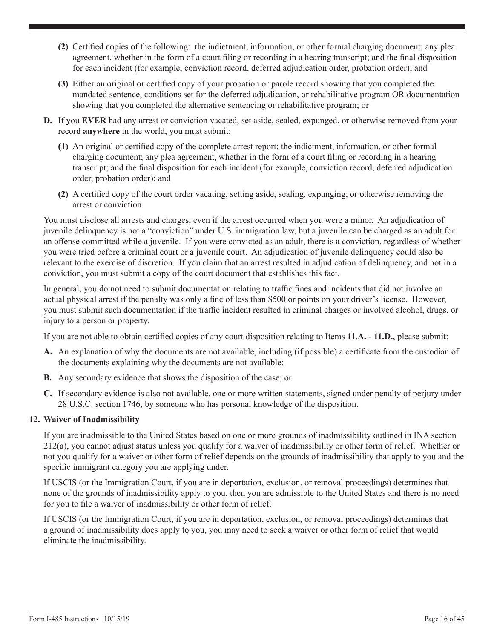- <span id="page-15-0"></span>**(2)** Certified copies of the following: the indictment, information, or other formal charging document; any plea agreement, whether in the form of a court filing or recording in a hearing transcript; and the final disposition for each incident (for example, conviction record, deferred adjudication order, probation order); and
- **(3)** Either an original or certified copy of your probation or parole record showing that you completed the mandated sentence, conditions set for the deferred adjudication, or rehabilitative program OR documentation showing that you completed the alternative sentencing or rehabilitative program; or
- **D.** If you **EVER** had any arrest or conviction vacated, set aside, sealed, expunged, or otherwise removed from your record **anywhere** in the world, you must submit:
	- **(1)** An original or certified copy of the complete arrest report; the indictment, information, or other formal charging document; any plea agreement, whether in the form of a court filing or recording in a hearing transcript; and the final disposition for each incident (for example, conviction record, deferred adjudication order, probation order); and
	- **(2)** A certified copy of the court order vacating, setting aside, sealing, expunging, or otherwise removing the arrest or conviction.

You must disclose all arrests and charges, even if the arrest occurred when you were a minor. An adjudication of juvenile delinquency is not a "conviction" under U.S. immigration law, but a juvenile can be charged as an adult for an offense committed while a juvenile. If you were convicted as an adult, there is a conviction, regardless of whether you were tried before a criminal court or a juvenile court. An adjudication of juvenile delinquency could also be relevant to the exercise of discretion. If you claim that an arrest resulted in adjudication of delinquency, and not in a conviction, you must submit a copy of the court document that establishes this fact.

In general, you do not need to submit documentation relating to traffic fines and incidents that did not involve an actual physical arrest if the penalty was only a fine of less than \$500 or points on your driver's license. However, you must submit such documentation if the traffic incident resulted in criminal charges or involved alcohol, drugs, or injury to a person or property.

If you are not able to obtain certified copies of any court disposition relating to Items **11.A. - 11.D.**, please submit:

- **A.** An explanation of why the documents are not available, including (if possible) a certificate from the custodian of the documents explaining why the documents are not available;
- **B.** Any secondary evidence that shows the disposition of the case; or
- **C.** If secondary evidence is also not available, one or more written statements, signed under penalty of perjury under 28 U.S.C. section 1746, by someone who has personal knowledge of the disposition.

## **12. Waiver of Inadmissibility**

If you are inadmissible to the United States based on one or more grounds of inadmissibility outlined in INA section 212(a), you cannot adjust status unless you qualify for a waiver of inadmissibility or other form of relief. Whether or not you qualify for a waiver or other form of relief depends on the grounds of inadmissibility that apply to you and the specific immigrant category you are applying under.

If USCIS (or the Immigration Court, if you are in deportation, exclusion, or removal proceedings) determines that none of the grounds of inadmissibility apply to you, then you are admissible to the United States and there is no need for you to file a waiver of inadmissibility or other form of relief.

If USCIS (or the Immigration Court, if you are in deportation, exclusion, or removal proceedings) determines that a ground of inadmissibility does apply to you, you may need to seek a waiver or other form of relief that would eliminate the inadmissibility.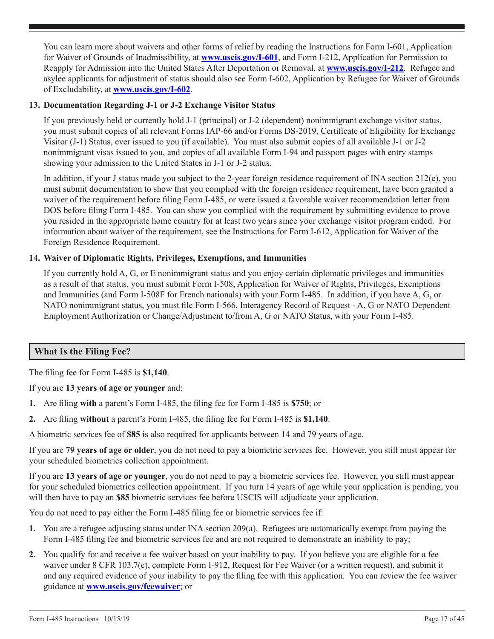<span id="page-16-0"></span>You can learn more about waivers and other forms of relief by reading the Instructions for Form I-601, Application for Waiver of Grounds of Inadmissibility, at **www.uscis.gov/I-601**, and Form I-212, Application for Permission to Reapply for Admission into the United States After Deportation or Removal, at **www.uscis.gov/I-212**. Refugee and asylee applicants for adjustment of status should also see Form I-602, Application by Refugee for Waiver of Grounds of Excludability, at **www.uscis.gov/I-602**.

## **13. Documentation Regarding J-1 or J-2 Exchange Visitor Status**

If you previously held or currently hold J-1 (principal) or J-2 (dependent) nonimmigrant exchange visitor status, you must submit copies of all relevant Forms IAP-66 and/or Forms DS-2019, Certificate of Eligibility for Exchange Visitor (J-1) Status, ever issued to you (if available). You must also submit copies of all available J-1 or J-2 nonimmigrant visas issued to you, and copies of all available Form I-94 and passport pages with entry stamps showing your admission to the United States in J-1 or J-2 status.

In addition, if your J status made you subject to the 2-year foreign residence requirement of INA section 212(e), you must submit documentation to show that you complied with the foreign residence requirement, have been granted a waiver of the requirement before filing Form I-485, or were issued a favorable waiver recommendation letter from DOS before filing Form I-485. You can show you complied with the requirement by submitting evidence to prove you resided in the appropriate home country for at least two years since your exchange visitor program ended. For information about waiver of the requirement, see the Instructions for Form I-612, Application for Waiver of the Foreign Residence Requirement.

## **14. Waiver of Diplomatic Rights, Privileges, Exemptions, and Immunities**

If you currently hold A, G, or E nonimmigrant status and you enjoy certain diplomatic privileges and immunities as a result of that status, you must submit Form I-508, Application for Waiver of Rights, Privileges, Exemptions and Immunities (and Form I-508F for French nationals) with your Form I-485. In addition, if you have A, G, or NATO nonimmigrant status, you must file Form I-566, Interagency Record of Request - A, G or NATO Dependent Employment Authorization or Change/Adjustment to/from A, G or NATO Status, with your Form I-485.

## **What Is the Filing Fee?**

The filing fee for Form I-485 is **\$1,140**.

If you are **13 years of age or younger** and:

- **1.** Are filing **with** a parent's Form I-485, the filing fee for Form I-485 is **\$750**; or
- **2.** Are filing **without** a parent's Form I-485, the filing fee for Form I-485 is **\$1,140**.

A biometric services fee of **\$85** is also required for applicants between 14 and 79 years of age.

If you are **79 years of age or older**, you do not need to pay a biometric services fee. However, you still must appear for your scheduled biometrics collection appointment.

If you are **13 years of age or younger**, you do not need to pay a biometric services fee. However, you still must appear for your scheduled biometrics collection appointment. If you turn 14 years of age while your application is pending, you will then have to pay an **\$85** biometric services fee before USCIS will adjudicate your application.

You do not need to pay either the Form I-485 filing fee or biometric services fee if:

- **1.** You are a refugee adjusting status under INA section 209(a). Refugees are automatically exempt from paying the Form I-485 filing fee and biometric services fee and are not required to demonstrate an inability to pay;
- **2.** You qualify for and receive a fee waiver based on your inability to pay. If you believe you are eligible for a fee waiver under 8 CFR 103.7(c), complete Form I-912, Request for Fee Waiver (or a written request), and submit it and any required evidence of your inability to pay the filing fee with this application. You can review the fee waiver guidance at **www.uscis.gov/feewaiver**; or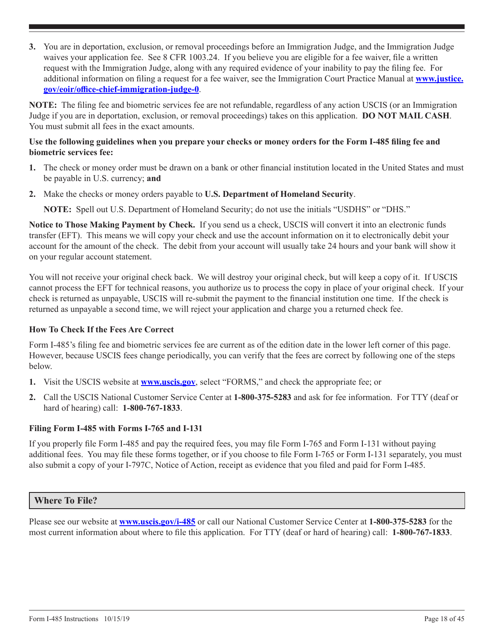<span id="page-17-0"></span>**3.** You are in deportation, exclusion, or removal proceedings before an Immigration Judge, and the Immigration Judge waives your application fee. See 8 CFR 1003.24. If you believe you are eligible for a fee waiver, file a written request with the Immigration Judge, along with any required evidence of your inability to pay the filing fee. For additional information on filing a request for a fee waiver, see the Immigration Court Practice Manual at **[www.justice.](http://www.justice.gov/eoir/office-chief-immigration-judge-0) [gov/eoir/office-chief-immigration-judge-0](http://www.justice.gov/eoir/office-chief-immigration-judge-0)**.

**NOTE:** The filing fee and biometric services fee are not refundable, regardless of any action USCIS (or an Immigration Judge if you are in deportation, exclusion, or removal proceedings) takes on this application. **DO NOT MAIL CASH**. You must submit all fees in the exact amounts.

## **Use the following guidelines when you prepare your checks or money orders for the Form I-485 filing fee and biometric services fee:**

- **1.** The check or money order must be drawn on a bank or other financial institution located in the United States and must be payable in U.S. currency; **and**
- **2.** Make the checks or money orders payable to **U.S. Department of Homeland Security**.

**NOTE:** Spell out U.S. Department of Homeland Security; do not use the initials "USDHS" or "DHS."

**Notice to Those Making Payment by Check.** If you send us a check, USCIS will convert it into an electronic funds transfer (EFT). This means we will copy your check and use the account information on it to electronically debit your account for the amount of the check. The debit from your account will usually take 24 hours and your bank will show it on your regular account statement.

You will not receive your original check back. We will destroy your original check, but will keep a copy of it. If USCIS cannot process the EFT for technical reasons, you authorize us to process the copy in place of your original check. If your check is returned as unpayable, USCIS will re-submit the payment to the financial institution one time. If the check is returned as unpayable a second time, we will reject your application and charge you a returned check fee.

## **How To Check If the Fees Are Correct**

Form I-485's filing fee and biometric services fee are current as of the edition date in the lower left corner of this page. However, because USCIS fees change periodically, you can verify that the fees are correct by following one of the steps below.

- **1.** Visit the USCIS website at **www.uscis.gov**, select "FORMS," and check the appropriate fee; or
- **2.** Call the USCIS National Customer Service Center at **1-800-375-5283** and ask for fee information. For TTY (deaf or hard of hearing) call: **1-800-767-1833**.

## **Filing Form I-485 with Forms I-765 and I-131**

If you properly file Form I-485 and pay the required fees, you may file Form I-765 and Form I-131 without paying additional fees. You may file these forms together, or if you choose to file Form I-765 or Form I-131 separately, you must also submit a copy of your I-797C, Notice of Action, receipt as evidence that you filed and paid for Form I-485.

## **Where To File?**

Please see our website at **www.uscis.gov/i-485** or call our National Customer Service Center at **1-800-375-5283** for the most current information about where to file this application. For TTY (deaf or hard of hearing) call: **1-800-767-1833**.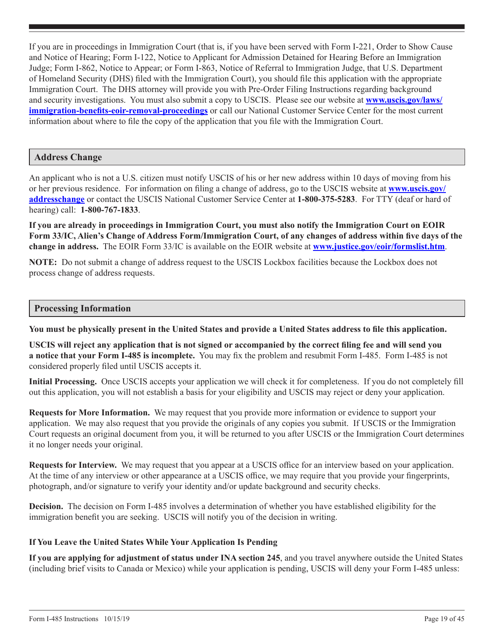<span id="page-18-0"></span>If you are in proceedings in Immigration Court (that is, if you have been served with Form I-221, Order to Show Cause and Notice of Hearing; Form I-122, Notice to Applicant for Admission Detained for Hearing Before an Immigration Judge; Form I-862, Notice to Appear; or Form I-863, Notice of Referral to Immigration Judge, that U.S. Department of Homeland Security (DHS) filed with the Immigration Court), you should file this application with the appropriate Immigration Court. The DHS attorney will provide you with Pre-Order Filing Instructions regarding background and security investigations. You must also submit a copy to USCIS. Please see our website at **[www.uscis.gov/laws/](http://www.uscis.gov/laws/immigration-benefits-eoir-removal-proceedings) [immigration-benefits-eoir-removal-proceedings](http://www.uscis.gov/laws/immigration-benefits-eoir-removal-proceedings)** or call our National Customer Service Center for the most current information about where to file the copy of the application that you file with the Immigration Court.

## **Address Change**

An applicant who is not a U.S. citizen must notify USCIS of his or her new address within 10 days of moving from his or her previous residence. For information on filing a change of address, go to the USCIS website at **[www.uscis.gov/](http://www.uscis.gov/addresschange ) [addresschange](http://www.uscis.gov/addresschange )** or contact the USCIS National Customer Service Center at **1-800-375-5283**. For TTY (deaf or hard of hearing) call: **1-800-767-1833**.

**If you are already in proceedings in Immigration Court, you must also notify the Immigration Court on EOIR Form 33/IC, Alien's Change of Address Form/Immigration Court, of any changes of address within five days of the change in address.** The EOIR Form 33/IC is available on the EOIR website at **www.justice.gov/eoir/formslist.htm**.

**NOTE:** Do not submit a change of address request to the USCIS Lockbox facilities because the Lockbox does not process change of address requests.

## **Processing Information**

**You must be physically present in the United States and provide a United States address to file this application.**

**USCIS will reject any application that is not signed or accompanied by the correct filing fee and will send you a notice that your Form I-485 is incomplete.** You may fix the problem and resubmit Form I-485. Form I-485 is not considered properly filed until USCIS accepts it.

**Initial Processing.** Once USCIS accepts your application we will check it for completeness. If you do not completely fill out this application, you will not establish a basis for your eligibility and USCIS may reject or deny your application.

**Requests for More Information.** We may request that you provide more information or evidence to support your application. We may also request that you provide the originals of any copies you submit. If USCIS or the Immigration Court requests an original document from you, it will be returned to you after USCIS or the Immigration Court determines it no longer needs your original.

**Requests for Interview.** We may request that you appear at a USCIS office for an interview based on your application. At the time of any interview or other appearance at a USCIS office, we may require that you provide your fingerprints, photograph, and/or signature to verify your identity and/or update background and security checks.

**Decision.** The decision on Form I-485 involves a determination of whether you have established eligibility for the immigration benefit you are seeking. USCIS will notify you of the decision in writing.

### **If You Leave the United States While Your Application Is Pending**

**If you are applying for adjustment of status under INA section 245**, and you travel anywhere outside the United States (including brief visits to Canada or Mexico) while your application is pending, USCIS will deny your Form I-485 unless: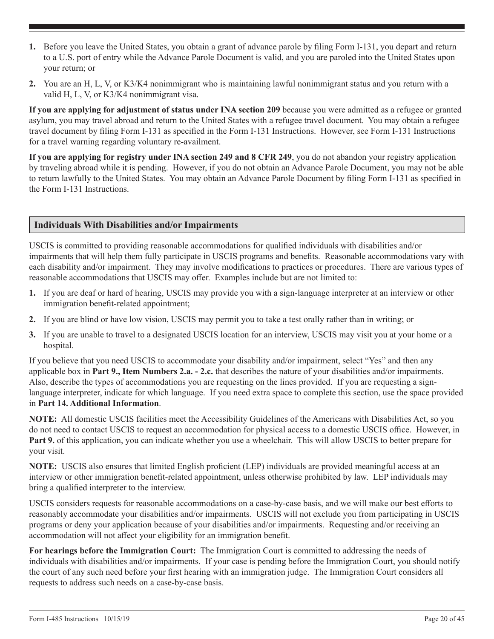- <span id="page-19-0"></span>**1.** Before you leave the United States, you obtain a grant of advance parole by filing Form I-131, you depart and return to a U.S. port of entry while the Advance Parole Document is valid, and you are paroled into the United States upon your return; or
- **2.** You are an H, L, V, or K3/K4 nonimmigrant who is maintaining lawful nonimmigrant status and you return with a valid H, L, V, or K3/K4 nonimmigrant visa.

**If you are applying for adjustment of status under INA section 209** because you were admitted as a refugee or granted asylum, you may travel abroad and return to the United States with a refugee travel document. You may obtain a refugee travel document by filing Form I-131 as specified in the Form I-131 Instructions. However, see Form I-131 Instructions for a travel warning regarding voluntary re-availment.

**If you are applying for registry under INA section 249 and 8 CFR 249**, you do not abandon your registry application by traveling abroad while it is pending. However, if you do not obtain an Advance Parole Document, you may not be able to return lawfully to the United States. You may obtain an Advance Parole Document by filing Form I-131 as specified in the Form I-131 Instructions.

## **Individuals With Disabilities and/or Impairments**

USCIS is committed to providing reasonable accommodations for qualified individuals with disabilities and/or impairments that will help them fully participate in USCIS programs and benefits. Reasonable accommodations vary with each disability and/or impairment. They may involve modifications to practices or procedures. There are various types of reasonable accommodations that USCIS may offer. Examples include but are not limited to:

- **1.** If you are deaf or hard of hearing, USCIS may provide you with a sign-language interpreter at an interview or other immigration benefit-related appointment;
- **2.** If you are blind or have low vision, USCIS may permit you to take a test orally rather than in writing; or
- **3.** If you are unable to travel to a designated USCIS location for an interview, USCIS may visit you at your home or a hospital.

If you believe that you need USCIS to accommodate your disability and/or impairment, select "Yes" and then any applicable box in **Part 9., Item Numbers 2.a. - 2.c.** that describes the nature of your disabilities and/or impairments. Also, describe the types of accommodations you are requesting on the lines provided. If you are requesting a signlanguage interpreter, indicate for which language. If you need extra space to complete this section, use the space provided in **Part 14. Additional Information**.

**NOTE:** All domestic USCIS facilities meet the Accessibility Guidelines of the Americans with Disabilities Act, so you do not need to contact USCIS to request an accommodation for physical access to a domestic USCIS office. However, in **Part 9.** of this application, you can indicate whether you use a wheelchair. This will allow USCIS to better prepare for your visit.

**NOTE:** USCIS also ensures that limited English proficient (LEP) individuals are provided meaningful access at an interview or other immigration benefit-related appointment, unless otherwise prohibited by law. LEP individuals may bring a qualified interpreter to the interview.

USCIS considers requests for reasonable accommodations on a case-by-case basis, and we will make our best efforts to reasonably accommodate your disabilities and/or impairments. USCIS will not exclude you from participating in USCIS programs or deny your application because of your disabilities and/or impairments. Requesting and/or receiving an accommodation will not affect your eligibility for an immigration benefit.

**For hearings before the Immigration Court:** The Immigration Court is committed to addressing the needs of individuals with disabilities and/or impairments. If your case is pending before the Immigration Court, you should notify the court of any such need before your first hearing with an immigration judge. The Immigration Court considers all requests to address such needs on a case-by-case basis.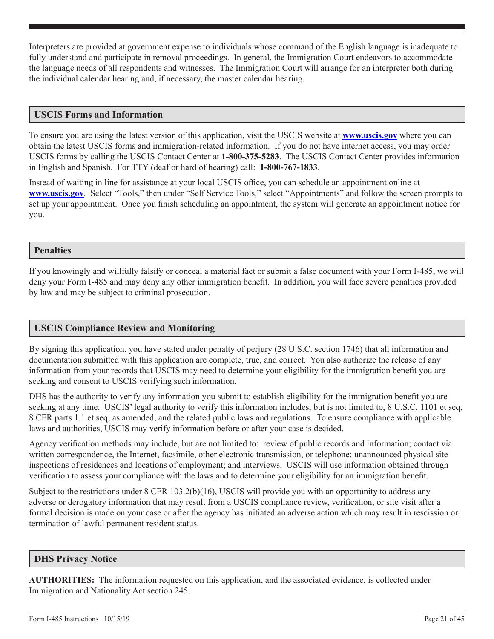<span id="page-20-0"></span>Interpreters are provided at government expense to individuals whose command of the English language is inadequate to fully understand and participate in removal proceedings. In general, the Immigration Court endeavors to accommodate the language needs of all respondents and witnesses. The Immigration Court will arrange for an interpreter both during the individual calendar hearing and, if necessary, the master calendar hearing.

## **USCIS Forms and Information**

To ensure you are using the latest version of this application, visit the USCIS website at **[www.uscis.gov](http://www.uscis.gov)** where you can obtain the latest USCIS forms and immigration-related information. If you do not have internet access, you may order USCIS forms by calling the USCIS Contact Center at **1-800-375-5283**. The USCIS Contact Center provides information in English and Spanish. For TTY (deaf or hard of hearing) call: **1-800-767-1833**.

Instead of waiting in line for assistance at your local USCIS office, you can schedule an appointment online at **[www.uscis.gov](http://www.uscis.gov)**. Select "Tools," then under "Self Service Tools," select "Appointments" and follow the screen prompts to set up your appointment. Once you finish scheduling an appointment, the system will generate an appointment notice for you.

## **Penalties**

If you knowingly and willfully falsify or conceal a material fact or submit a false document with your Form I-485, we will deny your Form I-485 and may deny any other immigration benefit. In addition, you will face severe penalties provided by law and may be subject to criminal prosecution.

## **USCIS Compliance Review and Monitoring**

By signing this application, you have stated under penalty of perjury (28 U.S.C. section 1746) that all information and documentation submitted with this application are complete, true, and correct. You also authorize the release of any information from your records that USCIS may need to determine your eligibility for the immigration benefit you are seeking and consent to USCIS verifying such information.

DHS has the authority to verify any information you submit to establish eligibility for the immigration benefit you are seeking at any time. USCIS' legal authority to verify this information includes, but is not limited to, 8 U.S.C. 1101 et seq, 8 CFR parts 1.1 et seq, as amended, and the related public laws and regulations. To ensure compliance with applicable laws and authorities, USCIS may verify information before or after your case is decided.

Agency verification methods may include, but are not limited to: review of public records and information; contact via written correspondence, the Internet, facsimile, other electronic transmission, or telephone; unannounced physical site inspections of residences and locations of employment; and interviews. USCIS will use information obtained through verification to assess your compliance with the laws and to determine your eligibility for an immigration benefit.

Subject to the restrictions under 8 CFR 103.2(b)(16), USCIS will provide you with an opportunity to address any adverse or derogatory information that may result from a USCIS compliance review, verification, or site visit after a formal decision is made on your case or after the agency has initiated an adverse action which may result in rescission or termination of lawful permanent resident status.

## **DHS Privacy Notice**

**AUTHORITIES:** The information requested on this application, and the associated evidence, is collected under Immigration and Nationality Act section 245.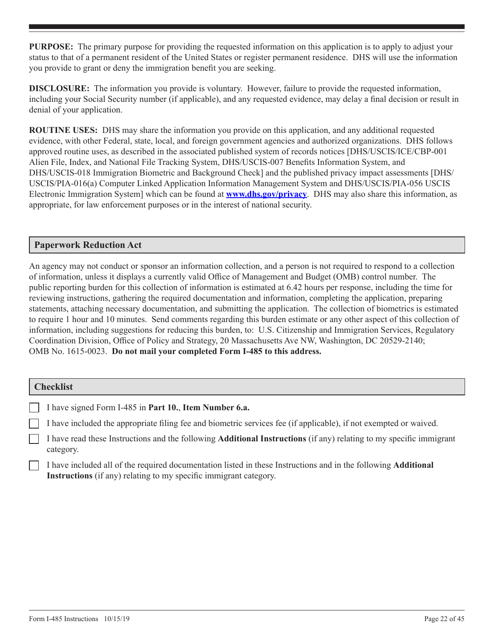<span id="page-21-0"></span>**PURPOSE:** The primary purpose for providing the requested information on this application is to apply to adjust your status to that of a permanent resident of the United States or register permanent residence. DHS will use the information you provide to grant or deny the immigration benefit you are seeking.

**DISCLOSURE:** The information you provide is voluntary. However, failure to provide the requested information, including your Social Security number (if applicable), and any requested evidence, may delay a final decision or result in denial of your application.

**ROUTINE USES:** DHS may share the information you provide on this application, and any additional requested evidence, with other Federal, state, local, and foreign government agencies and authorized organizations. DHS follows approved routine uses, as described in the associated published system of records notices [DHS/USCIS/ICE/CBP-001 Alien File, Index, and National File Tracking System, DHS/USCIS-007 Benefits Information System, and DHS/USCIS-018 Immigration Biometric and Background Check] and the published privacy impact assessments [DHS/ USCIS/PIA-016(a) Computer Linked Application Information Management System and DHS/USCIS/PIA-056 USCIS Electronic Immigration System] which can be found at **www.dhs.gov/privacy**. DHS may also share this information, as appropriate, for law enforcement purposes or in the interest of national security.

## **Paperwork Reduction Act**

An agency may not conduct or sponsor an information collection, and a person is not required to respond to a collection of information, unless it displays a currently valid Office of Management and Budget (OMB) control number. The public reporting burden for this collection of information is estimated at 6.42 hours per response, including the time for reviewing instructions, gathering the required documentation and information, completing the application, preparing statements, attaching necessary documentation, and submitting the application. The collection of biometrics is estimated to require 1 hour and 10 minutes. Send comments regarding this burden estimate or any other aspect of this collection of information, including suggestions for reducing this burden, to: U.S. Citizenship and Immigration Services, Regulatory Coordination Division, Office of Policy and Strategy, 20 Massachusetts Ave NW, Washington, DC 20529-2140; OMB No. 1615-0023. **Do not mail your completed Form I-485 to this address.**

### **Checklist**

|  | I have signed Form I-485 in Part 10., Item Number 6.a. |  |  |  |  |  |  |  |  |
|--|--------------------------------------------------------|--|--|--|--|--|--|--|--|
|--|--------------------------------------------------------|--|--|--|--|--|--|--|--|

I have included the appropriate filing fee and biometric services fee (if applicable), if not exempted or waived.

I have read these Instructions and the following **Additional Instructions** (if any) relating to my specific immigrant category.

I have included all of the required documentation listed in these Instructions and in the following **Additional Instructions** (if any) relating to my specific immigrant category.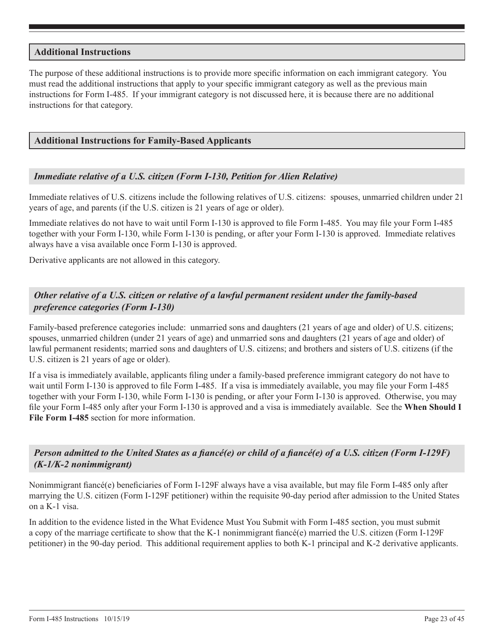## **Additional Instructions**

The purpose of these additional instructions is to provide more specific information on each immigrant category. You must read the additional instructions that apply to your specific immigrant category as well as the previous main instructions for Form I-485. If your immigrant category is not discussed here, it is because there are no additional instructions for that category.

## **Additional Instructions for Family-Based Applicants**

## *Immediate relative of a U.S. citizen (Form I-130, Petition for Alien Relative)*

Immediate relatives of U.S. citizens include the following relatives of U.S. citizens: spouses, unmarried children under 21 years of age, and parents (if the U.S. citizen is 21 years of age or older).

Immediate relatives do not have to wait until Form I-130 is approved to file Form I-485. You may file your Form I-485 together with your Form I-130, while Form I-130 is pending, or after your Form I-130 is approved. Immediate relatives always have a visa available once Form I-130 is approved.

Derivative applicants are not allowed in this category.

## *Other relative of a U.S. citizen or relative of a lawful permanent resident under the family-based preference categories (Form I-130)*

Family-based preference categories include: unmarried sons and daughters (21 years of age and older) of U.S. citizens; spouses, unmarried children (under 21 years of age) and unmarried sons and daughters (21 years of age and older) of lawful permanent residents; married sons and daughters of U.S. citizens; and brothers and sisters of U.S. citizens (if the U.S. citizen is 21 years of age or older).

If a visa is immediately available, applicants filing under a family-based preference immigrant category do not have to wait until Form I-130 is approved to file Form I-485. If a visa is immediately available, you may file your Form I-485 together with your Form I-130, while Form I-130 is pending, or after your Form I-130 is approved. Otherwise, you may file your Form I-485 only after your Form I-130 is approved and a visa is immediately available. See the **When Should I File Form I-485** section for more information.

*Person admitted to the United States as a fiancé(e) or child of a fiancé(e) of a U.S. citizen (Form I-129F) (K-1/K-2 nonimmigrant)*

Nonimmigrant fiancé(e) beneficiaries of Form I-129F always have a visa available, but may file Form I-485 only after marrying the U.S. citizen (Form I-129F petitioner) within the requisite 90-day period after admission to the United States on a K-1 visa.

In addition to the evidence listed in the What Evidence Must You Submit with Form I-485 section, you must submit a copy of the marriage certificate to show that the K-1 nonimmigrant fiancé(e) married the U.S. citizen (Form I-129F petitioner) in the 90-day period. This additional requirement applies to both K-1 principal and K-2 derivative applicants.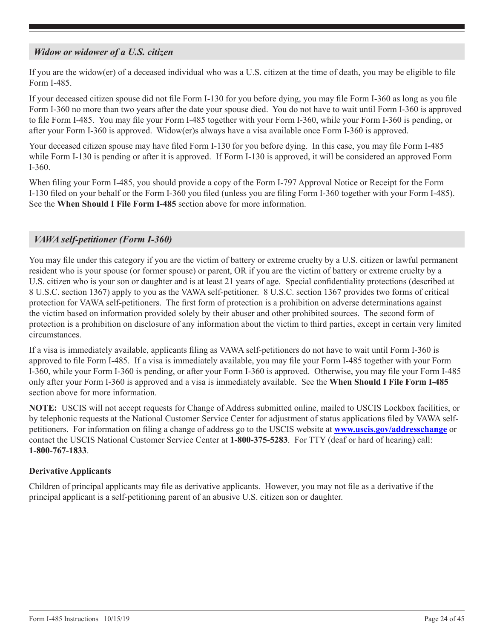## <span id="page-23-0"></span>*Widow or widower of a U.S. citizen*

If you are the widow(er) of a deceased individual who was a U.S. citizen at the time of death, you may be eligible to file Form I-485.

If your deceased citizen spouse did not file Form I-130 for you before dying, you may file Form I-360 as long as you file Form I-360 no more than two years after the date your spouse died. You do not have to wait until Form I-360 is approved to file Form I-485. You may file your Form I-485 together with your Form I-360, while your Form I-360 is pending, or after your Form I-360 is approved. Widow(er)s always have a visa available once Form I-360 is approved.

Your deceased citizen spouse may have filed Form I-130 for you before dying. In this case, you may file Form I-485 while Form I-130 is pending or after it is approved. If Form I-130 is approved, it will be considered an approved Form I-360.

When filing your Form I-485, you should provide a copy of the Form I-797 Approval Notice or Receipt for the Form I-130 filed on your behalf or the Form I-360 you filed (unless you are filing Form I-360 together with your Form I-485). See the **When Should I File Form I-485** section above for more information.

## *VAWA self-petitioner (Form I-360)*

You may file under this category if you are the victim of battery or extreme cruelty by a U.S. citizen or lawful permanent resident who is your spouse (or former spouse) or parent, OR if you are the victim of battery or extreme cruelty by a U.S. citizen who is your son or daughter and is at least 21 years of age. Special confidentiality protections (described at 8 U.S.C. section 1367) apply to you as the VAWA self-petitioner. 8 U.S.C. section 1367 provides two forms of critical protection for VAWA self-petitioners. The first form of protection is a prohibition on adverse determinations against the victim based on information provided solely by their abuser and other prohibited sources. The second form of protection is a prohibition on disclosure of any information about the victim to third parties, except in certain very limited circumstances.

If a visa is immediately available, applicants filing as VAWA self-petitioners do not have to wait until Form I-360 is approved to file Form I-485. If a visa is immediately available, you may file your Form I-485 together with your Form I-360, while your Form I-360 is pending, or after your Form I-360 is approved. Otherwise, you may file your Form I-485 only after your Form I-360 is approved and a visa is immediately available. See the **When Should I File Form I-485** section above for more information.

**NOTE:** USCIS will not accept requests for Change of Address submitted online, mailed to USCIS Lockbox facilities, or by telephonic requests at the National Customer Service Center for adjustment of status applications filed by VAWA selfpetitioners. For information on filing a change of address go to the USCIS website at **www.uscis.gov/addresschange** or contact the USCIS National Customer Service Center at **1-800-375-5283**. For TTY (deaf or hard of hearing) call: **1-800-767-1833**.

## **Derivative Applicants**

Children of principal applicants may file as derivative applicants. However, you may not file as a derivative if the principal applicant is a self-petitioning parent of an abusive U.S. citizen son or daughter.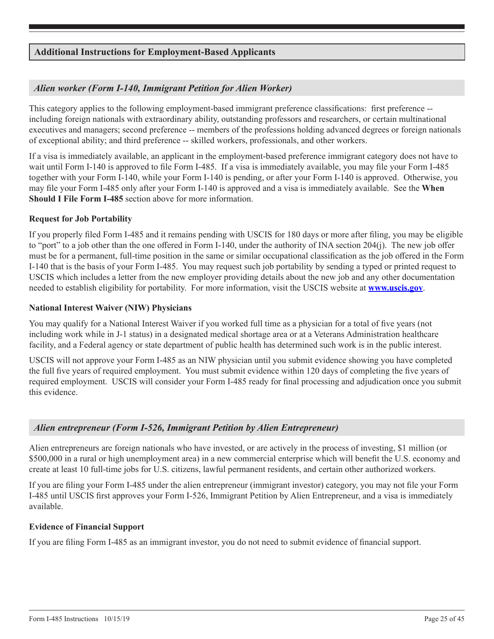## <span id="page-24-0"></span>**Additional Instructions for Employment-Based Applicants**

## *Alien worker (Form I-140, Immigrant Petition for Alien Worker)*

This category applies to the following employment-based immigrant preference classifications: first preference - including foreign nationals with extraordinary ability, outstanding professors and researchers, or certain multinational executives and managers; second preference -- members of the professions holding advanced degrees or foreign nationals of exceptional ability; and third preference -- skilled workers, professionals, and other workers.

If a visa is immediately available, an applicant in the employment-based preference immigrant category does not have to wait until Form I-140 is approved to file Form I-485. If a visa is immediately available, you may file your Form I-485 together with your Form I-140, while your Form I-140 is pending, or after your Form I-140 is approved. Otherwise, you may file your Form I-485 only after your Form I-140 is approved and a visa is immediately available. See the **When Should I File Form I-485** section above for more information.

### **Request for Job Portability**

If you properly filed Form I-485 and it remains pending with USCIS for 180 days or more after filing, you may be eligible to "port" to a job other than the one offered in Form I-140, under the authority of INA section 204(j). The new job offer must be for a permanent, full-time position in the same or similar occupational classification as the job offered in the Form I-140 that is the basis of your Form I-485. You may request such job portability by sending a typed or printed request to USCIS which includes a letter from the new employer providing details about the new job and any other documentation needed to establish eligibility for portability. For more information, visit the USCIS website at **www.uscis.gov**.

### **National Interest Waiver (NIW) Physicians**

You may qualify for a National Interest Waiver if you worked full time as a physician for a total of five years (not including work while in J-1 status) in a designated medical shortage area or at a Veterans Administration healthcare facility, and a Federal agency or state department of public health has determined such work is in the public interest.

USCIS will not approve your Form I-485 as an NIW physician until you submit evidence showing you have completed the full five years of required employment. You must submit evidence within 120 days of completing the five years of required employment. USCIS will consider your Form I-485 ready for final processing and adjudication once you submit this evidence.

## *Alien entrepreneur (Form I-526, Immigrant Petition by Alien Entrepreneur)*

Alien entrepreneurs are foreign nationals who have invested, or are actively in the process of investing, \$1 million (or \$500,000 in a rural or high unemployment area) in a new commercial enterprise which will benefit the U.S. economy and create at least 10 full-time jobs for U.S. citizens, lawful permanent residents, and certain other authorized workers.

If you are filing your Form I-485 under the alien entrepreneur (immigrant investor) category, you may not file your Form I-485 until USCIS first approves your Form I-526, Immigrant Petition by Alien Entrepreneur, and a visa is immediately available.

### **Evidence of Financial Support**

If you are filing Form I-485 as an immigrant investor, you do not need to submit evidence of financial support.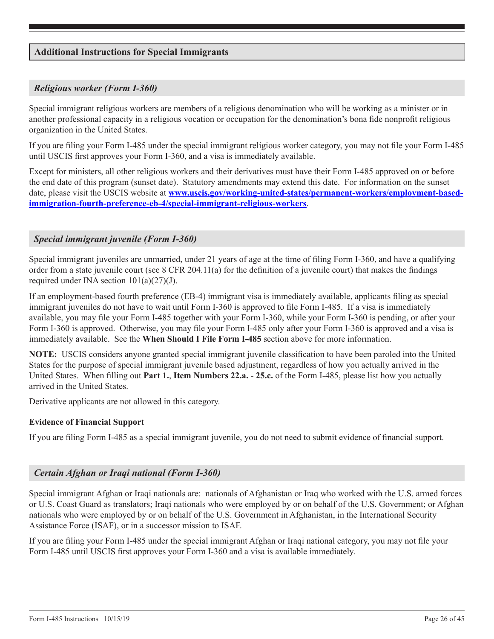## <span id="page-25-0"></span>**Additional Instructions for Special Immigrants**

## *Religious worker (Form I-360)*

Special immigrant religious workers are members of a religious denomination who will be working as a minister or in another professional capacity in a religious vocation or occupation for the denomination's bona fide nonprofit religious organization in the United States.

If you are filing your Form I-485 under the special immigrant religious worker category, you may not file your Form I-485 until USCIS first approves your Form I-360, and a visa is immediately available.

Except for ministers, all other religious workers and their derivatives must have their Form I-485 approved on or before the end date of this program (sunset date). Statutory amendments may extend this date. For information on the sunset date, please visit the USCIS website at **[www.uscis.gov/working-united-states/permanent-workers/employment-based](http://www.uscis.gov/working-united-states/permanent-workers/employment-based-immigration-fourth-preference-eb-4/special-immigrant-religious-workers)[immigration-fourth-preference-eb-4/special-immigrant-religious-workers](http://www.uscis.gov/working-united-states/permanent-workers/employment-based-immigration-fourth-preference-eb-4/special-immigrant-religious-workers)**.

## *Special immigrant juvenile (Form I-360)*

Special immigrant juveniles are unmarried, under 21 years of age at the time of filing Form I-360, and have a qualifying order from a state juvenile court (see 8 CFR 204.11(a) for the definition of a juvenile court) that makes the findings required under INA section  $101(a)(27)(J)$ .

If an employment-based fourth preference (EB-4) immigrant visa is immediately available, applicants filing as special immigrant juveniles do not have to wait until Form I-360 is approved to file Form I-485. If a visa is immediately available, you may file your Form I-485 together with your Form I-360, while your Form I-360 is pending, or after your Form I-360 is approved. Otherwise, you may file your Form I-485 only after your Form I-360 is approved and a visa is immediately available. See the **When Should I File Form I-485** section above for more information.

**NOTE:** USCIS considers anyone granted special immigrant juvenile classification to have been paroled into the United States for the purpose of special immigrant juvenile based adjustment, regardless of how you actually arrived in the United States. When filling out **Part 1.**, **Item Numbers 22.a. - 25.c.** of the Form I-485, please list how you actually arrived in the United States.

Derivative applicants are not allowed in this category.

### **Evidence of Financial Support**

If you are filing Form I-485 as a special immigrant juvenile, you do not need to submit evidence of financial support.

### *Certain Afghan or Iraqi national (Form I-360)*

Special immigrant Afghan or Iraqi nationals are: nationals of Afghanistan or Iraq who worked with the U.S. armed forces or U.S. Coast Guard as translators; Iraqi nationals who were employed by or on behalf of the U.S. Government; or Afghan nationals who were employed by or on behalf of the U.S. Government in Afghanistan, in the International Security Assistance Force (ISAF), or in a successor mission to ISAF.

If you are filing your Form I-485 under the special immigrant Afghan or Iraqi national category, you may not file your Form I-485 until USCIS first approves your Form I-360 and a visa is available immediately.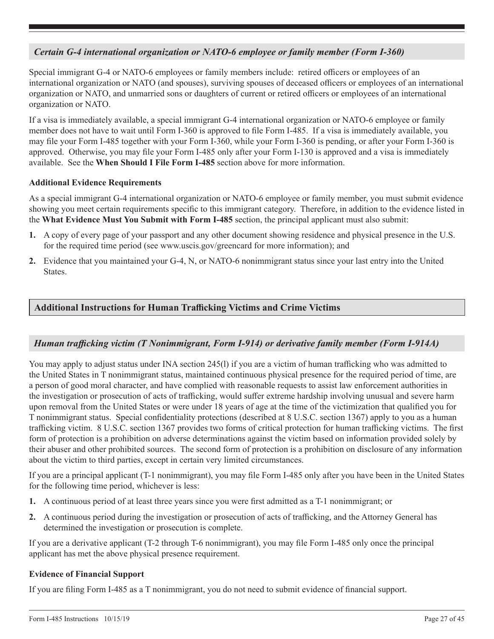## *Certain G-4 international organization or NATO-6 employee or family member (Form I-360)*

Special immigrant G-4 or NATO-6 employees or family members include: retired officers or employees of an international organization or NATO (and spouses), surviving spouses of deceased officers or employees of an international organization or NATO, and unmarried sons or daughters of current or retired officers or employees of an international organization or NATO.

If a visa is immediately available, a special immigrant G-4 international organization or NATO-6 employee or family member does not have to wait until Form I-360 is approved to file Form I-485. If a visa is immediately available, you may file your Form I-485 together with your Form I-360, while your Form I-360 is pending, or after your Form I-360 is approved. Otherwise, you may file your Form I-485 only after your Form I-130 is approved and a visa is immediately available. See the **When Should I File Form I-485** section above for more information.

## **Additional Evidence Requirements**

As a special immigrant G-4 international organization or NATO-6 employee or family member, you must submit evidence showing you meet certain requirements specific to this immigrant category. Therefore, in addition to the evidence listed in the **What Evidence Must You Submit with Form I-485** section, the principal applicant must also submit:

- **1.** A copy of every page of your passport and any other document showing residence and physical presence in the U.S. for the required time period (see www.uscis.gov/greencard for more information); and
- **2.** Evidence that you maintained your G-4, N, or NATO-6 nonimmigrant status since your last entry into the United States.

## **Additional Instructions for Human Trafficking Victims and Crime Victims**

## *Human trafficking victim (T Nonimmigrant, Form I-914) or derivative family member (Form I-914A)*

You may apply to adjust status under INA section 245(l) if you are a victim of human trafficking who was admitted to the United States in T nonimmigrant status, maintained continuous physical presence for the required period of time, are a person of good moral character, and have complied with reasonable requests to assist law enforcement authorities in the investigation or prosecution of acts of trafficking, would suffer extreme hardship involving unusual and severe harm upon removal from the United States or were under 18 years of age at the time of the victimization that qualified you for T nonimmigrant status. Special confidentiality protections (described at 8 U.S.C. section 1367) apply to you as a human trafficking victim. 8 U.S.C. section 1367 provides two forms of critical protection for human trafficking victims. The first form of protection is a prohibition on adverse determinations against the victim based on information provided solely by their abuser and other prohibited sources. The second form of protection is a prohibition on disclosure of any information about the victim to third parties, except in certain very limited circumstances.

If you are a principal applicant (T-1 nonimmigrant), you may file Form I-485 only after you have been in the United States for the following time period, whichever is less:

- **1.** A continuous period of at least three years since you were first admitted as a T-1 nonimmigrant; or
- **2.** A continuous period during the investigation or prosecution of acts of trafficking, and the Attorney General has determined the investigation or prosecution is complete.

If you are a derivative applicant (T-2 through T-6 nonimmigrant), you may file Form I-485 only once the principal applicant has met the above physical presence requirement.

## **Evidence of Financial Support**

If you are filing Form I-485 as a T nonimmigrant, you do not need to submit evidence of financial support.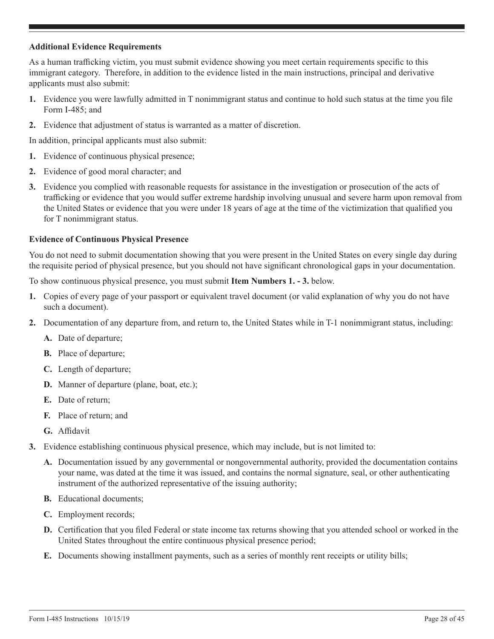### **Additional Evidence Requirements**

As a human trafficking victim, you must submit evidence showing you meet certain requirements specific to this immigrant category. Therefore, in addition to the evidence listed in the main instructions, principal and derivative applicants must also submit:

- **1.** Evidence you were lawfully admitted in T nonimmigrant status and continue to hold such status at the time you file Form I-485; and
- **2.** Evidence that adjustment of status is warranted as a matter of discretion.

In addition, principal applicants must also submit:

- **1.** Evidence of continuous physical presence;
- **2.** Evidence of good moral character; and
- **3.** Evidence you complied with reasonable requests for assistance in the investigation or prosecution of the acts of trafficking or evidence that you would suffer extreme hardship involving unusual and severe harm upon removal from the United States or evidence that you were under 18 years of age at the time of the victimization that qualified you for T nonimmigrant status.

## **Evidence of Continuous Physical Presence**

You do not need to submit documentation showing that you were present in the United States on every single day during the requisite period of physical presence, but you should not have significant chronological gaps in your documentation.

To show continuous physical presence, you must submit **Item Numbers 1. - 3.** below.

- **1.** Copies of every page of your passport or equivalent travel document (or valid explanation of why you do not have such a document).
- **2.** Documentation of any departure from, and return to, the United States while in T-1 nonimmigrant status, including:
	- **A.** Date of departure;
	- **B.** Place of departure;
	- **C.** Length of departure;
	- **D.** Manner of departure (plane, boat, etc.);
	- **E.** Date of return;
	- **F.** Place of return; and
	- **G.** Affidavit
- **3.** Evidence establishing continuous physical presence, which may include, but is not limited to:
	- **A.** Documentation issued by any governmental or nongovernmental authority, provided the documentation contains your name, was dated at the time it was issued, and contains the normal signature, seal, or other authenticating instrument of the authorized representative of the issuing authority;
	- **B.** Educational documents;
	- **C.** Employment records;
	- **D.** Certification that you filed Federal or state income tax returns showing that you attended school or worked in the United States throughout the entire continuous physical presence period;
	- **E.** Documents showing installment payments, such as a series of monthly rent receipts or utility bills;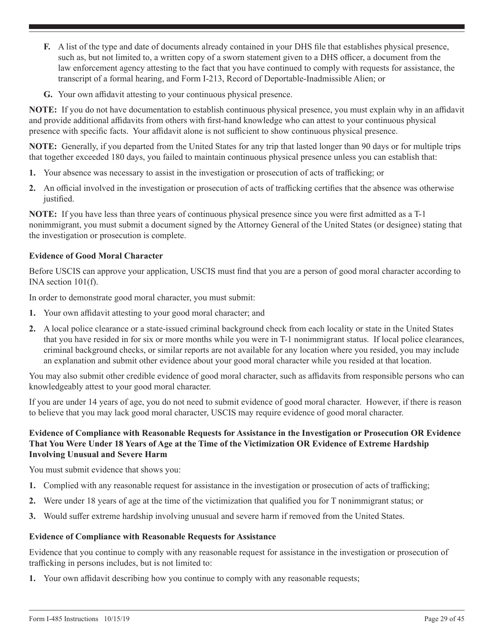- **F.** A list of the type and date of documents already contained in your DHS file that establishes physical presence, such as, but not limited to, a written copy of a sworn statement given to a DHS officer, a document from the law enforcement agency attesting to the fact that you have continued to comply with requests for assistance, the transcript of a formal hearing, and Form I-213, Record of Deportable-Inadmissible Alien; or
- **G.** Your own affidavit attesting to your continuous physical presence.

**NOTE:** If you do not have documentation to establish continuous physical presence, you must explain why in an affidavit and provide additional affidavits from others with first-hand knowledge who can attest to your continuous physical presence with specific facts. Your affidavit alone is not sufficient to show continuous physical presence.

**NOTE:** Generally, if you departed from the United States for any trip that lasted longer than 90 days or for multiple trips that together exceeded 180 days, you failed to maintain continuous physical presence unless you can establish that:

- **1.** Your absence was necessary to assist in the investigation or prosecution of acts of trafficking; or
- **2.** An official involved in the investigation or prosecution of acts of trafficking certifies that the absence was otherwise justified.

**NOTE:** If you have less than three years of continuous physical presence since you were first admitted as a T-1 nonimmigrant, you must submit a document signed by the Attorney General of the United States (or designee) stating that the investigation or prosecution is complete.

## **Evidence of Good Moral Character**

Before USCIS can approve your application, USCIS must find that you are a person of good moral character according to INA section 101(f).

In order to demonstrate good moral character, you must submit:

- **1.** Your own affidavit attesting to your good moral character; and
- **2.** A local police clearance or a state-issued criminal background check from each locality or state in the United States that you have resided in for six or more months while you were in T-1 nonimmigrant status. If local police clearances, criminal background checks, or similar reports are not available for any location where you resided, you may include an explanation and submit other evidence about your good moral character while you resided at that location.

You may also submit other credible evidence of good moral character, such as affidavits from responsible persons who can knowledgeably attest to your good moral character.

If you are under 14 years of age, you do not need to submit evidence of good moral character. However, if there is reason to believe that you may lack good moral character, USCIS may require evidence of good moral character.

## **Evidence of Compliance with Reasonable Requests for Assistance in the Investigation or Prosecution OR Evidence That You Were Under 18 Years of Age at the Time of the Victimization OR Evidence of Extreme Hardship Involving Unusual and Severe Harm**

You must submit evidence that shows you:

- **1.** Complied with any reasonable request for assistance in the investigation or prosecution of acts of trafficking;
- **2.** Were under 18 years of age at the time of the victimization that qualified you for T nonimmigrant status; or
- **3.** Would suffer extreme hardship involving unusual and severe harm if removed from the United States.

### **Evidence of Compliance with Reasonable Requests for Assistance**

Evidence that you continue to comply with any reasonable request for assistance in the investigation or prosecution of trafficking in persons includes, but is not limited to:

**1.** Your own affidavit describing how you continue to comply with any reasonable requests;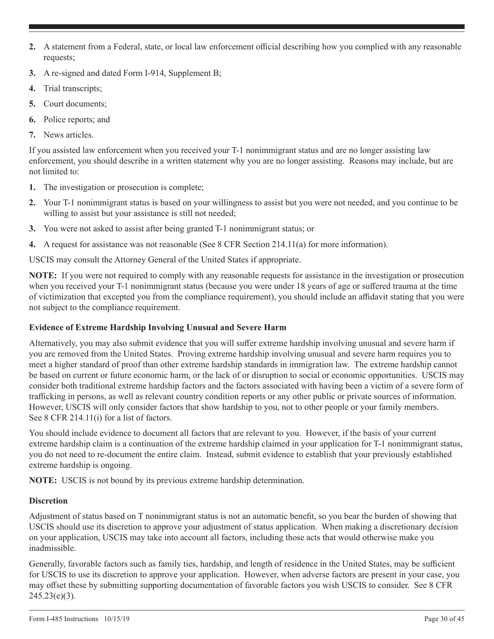- **2.** A statement from a Federal, state, or local law enforcement official describing how you complied with any reasonable requests;
- **3.** A re-signed and dated Form I-914, Supplement B;
- **4.** Trial transcripts;
- **5.** Court documents;
- **6.** Police reports; and
- **7.** News articles.

If you assisted law enforcement when you received your T-1 nonimmigrant status and are no longer assisting law enforcement, you should describe in a written statement why you are no longer assisting. Reasons may include, but are not limited to:

- **1.** The investigation or prosecution is complete;
- **2.** Your T-1 nonimmigrant status is based on your willingness to assist but you were not needed, and you continue to be willing to assist but your assistance is still not needed;
- **3.** You were not asked to assist after being granted T-1 nonimmigrant status; or
- **4.** A request for assistance was not reasonable (See 8 CFR Section 214.11(a) for more information).

USCIS may consult the Attorney General of the United States if appropriate.

**NOTE:** If you were not required to comply with any reasonable requests for assistance in the investigation or prosecution when you received your T-1 nonimmigrant status (because you were under 18 years of age or suffered trauma at the time of victimization that excepted you from the compliance requirement), you should include an affidavit stating that you were not subject to the compliance requirement.

## **Evidence of Extreme Hardship Involving Unusual and Severe Harm**

Alternatively, you may also submit evidence that you will suffer extreme hardship involving unusual and severe harm if you are removed from the United States. Proving extreme hardship involving unusual and severe harm requires you to meet a higher standard of proof than other extreme hardship standards in immigration law. The extreme hardship cannot be based on current or future economic harm, or the lack of or disruption to social or economic opportunities. USCIS may consider both traditional extreme hardship factors and the factors associated with having been a victim of a severe form of trafficking in persons, as well as relevant country condition reports or any other public or private sources of information. However, USCIS will only consider factors that show hardship to you, not to other people or your family members. See 8 CFR 214.11(i) for a list of factors.

You should include evidence to document all factors that are relevant to you. However, if the basis of your current extreme hardship claim is a continuation of the extreme hardship claimed in your application for T-1 nonimmigrant status, you do not need to re-document the entire claim. Instead, submit evidence to establish that your previously established extreme hardship is ongoing.

**NOTE:** USCIS is not bound by its previous extreme hardship determination.

## **Discretion**

Adjustment of status based on T nonimmigrant status is not an automatic benefit, so you bear the burden of showing that USCIS should use its discretion to approve your adjustment of status application. When making a discretionary decision on your application, USCIS may take into account all factors, including those acts that would otherwise make you inadmissible.

Generally, favorable factors such as family ties, hardship, and length of residence in the United States, may be sufficient for USCIS to use its discretion to approve your application. However, when adverse factors are present in your case, you may offset these by submitting supporting documentation of favorable factors you wish USCIS to consider. See 8 CFR  $245.23(e)(3)$ .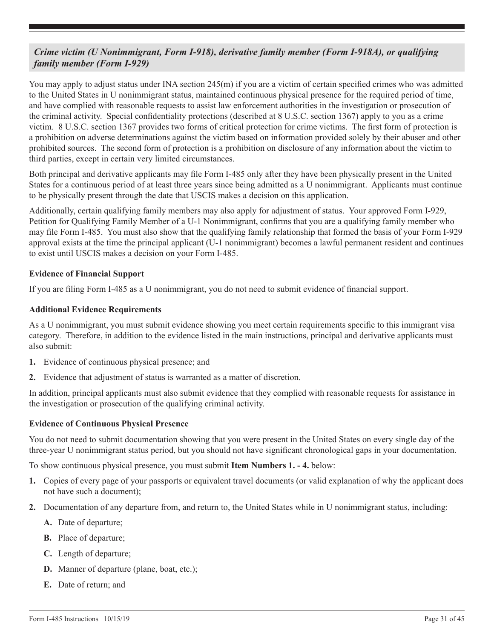## *Crime victim (U Nonimmigrant, Form I-918), derivative family member (Form I-918A), or qualifying family member (Form I-929)*

You may apply to adjust status under INA section 245(m) if you are a victim of certain specified crimes who was admitted to the United States in U nonimmigrant status, maintained continuous physical presence for the required period of time, and have complied with reasonable requests to assist law enforcement authorities in the investigation or prosecution of the criminal activity. Special confidentiality protections (described at 8 U.S.C. section 1367) apply to you as a crime victim. 8 U.S.C. section 1367 provides two forms of critical protection for crime victims. The first form of protection is a prohibition on adverse determinations against the victim based on information provided solely by their abuser and other prohibited sources. The second form of protection is a prohibition on disclosure of any information about the victim to third parties, except in certain very limited circumstances.

Both principal and derivative applicants may file Form I-485 only after they have been physically present in the United States for a continuous period of at least three years since being admitted as a U nonimmigrant. Applicants must continue to be physically present through the date that USCIS makes a decision on this application.

Additionally, certain qualifying family members may also apply for adjustment of status. Your approved Form I-929, Petition for Qualifying Family Member of a U-1 Nonimmigrant, confirms that you are a qualifying family member who may file Form I-485. You must also show that the qualifying family relationship that formed the basis of your Form I-929 approval exists at the time the principal applicant (U-1 nonimmigrant) becomes a lawful permanent resident and continues to exist until USCIS makes a decision on your Form I-485.

## **Evidence of Financial Support**

If you are filing Form I-485 as a U nonimmigrant, you do not need to submit evidence of financial support.

## **Additional Evidence Requirements**

As a U nonimmigrant, you must submit evidence showing you meet certain requirements specific to this immigrant visa category. Therefore, in addition to the evidence listed in the main instructions, principal and derivative applicants must also submit:

- **1.** Evidence of continuous physical presence; and
- **2.** Evidence that adjustment of status is warranted as a matter of discretion.

In addition, principal applicants must also submit evidence that they complied with reasonable requests for assistance in the investigation or prosecution of the qualifying criminal activity.

## **Evidence of Continuous Physical Presence**

You do not need to submit documentation showing that you were present in the United States on every single day of the three-year U nonimmigrant status period, but you should not have significant chronological gaps in your documentation.

To show continuous physical presence, you must submit **Item Numbers 1. - 4.** below:

- **1.** Copies of every page of your passports or equivalent travel documents (or valid explanation of why the applicant does not have such a document);
- **2.** Documentation of any departure from, and return to, the United States while in U nonimmigrant status, including:
	- **A.** Date of departure;
	- **B.** Place of departure;
	- **C.** Length of departure;
	- **D.** Manner of departure (plane, boat, etc.);
	- **E.** Date of return; and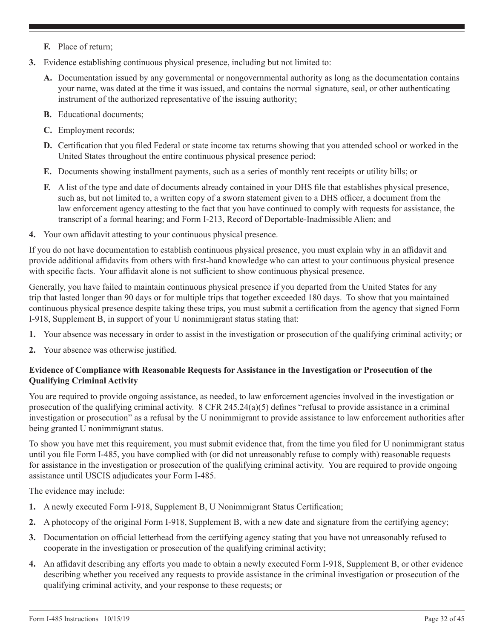- <span id="page-31-0"></span>**F.** Place of return;
- **3.** Evidence establishing continuous physical presence, including but not limited to:
	- **A.** Documentation issued by any governmental or nongovernmental authority as long as the documentation contains your name, was dated at the time it was issued, and contains the normal signature, seal, or other authenticating instrument of the authorized representative of the issuing authority;
	- **B.** Educational documents;
	- **C.** Employment records;
	- **D.** Certification that you filed Federal or state income tax returns showing that you attended school or worked in the United States throughout the entire continuous physical presence period;
	- **E.** Documents showing installment payments, such as a series of monthly rent receipts or utility bills; or
	- **F.** A list of the type and date of documents already contained in your DHS file that establishes physical presence, such as, but not limited to, a written copy of a sworn statement given to a DHS officer, a document from the law enforcement agency attesting to the fact that you have continued to comply with requests for assistance, the transcript of a formal hearing; and Form I-213, Record of Deportable-Inadmissible Alien; and
- **4.** Your own affidavit attesting to your continuous physical presence.

If you do not have documentation to establish continuous physical presence, you must explain why in an affidavit and provide additional affidavits from others with first-hand knowledge who can attest to your continuous physical presence with specific facts. Your affidavit alone is not sufficient to show continuous physical presence.

Generally, you have failed to maintain continuous physical presence if you departed from the United States for any trip that lasted longer than 90 days or for multiple trips that together exceeded 180 days. To show that you maintained continuous physical presence despite taking these trips, you must submit a certification from the agency that signed Form I-918, Supplement B, in support of your U nonimmigrant status stating that:

- **1.** Your absence was necessary in order to assist in the investigation or prosecution of the qualifying criminal activity; or
- **2.** Your absence was otherwise justified.

## **Evidence of Compliance with Reasonable Requests for Assistance in the Investigation or Prosecution of the Qualifying Criminal Activity**

You are required to provide ongoing assistance, as needed, to law enforcement agencies involved in the investigation or prosecution of the qualifying criminal activity.  $8$  CFR 245.24(a)(5) defines "refusal to provide assistance in a criminal investigation or prosecution" as a refusal by the U nonimmigrant to provide assistance to law enforcement authorities after being granted U nonimmigrant status.

To show you have met this requirement, you must submit evidence that, from the time you filed for U nonimmigrant status until you file Form I-485, you have complied with (or did not unreasonably refuse to comply with) reasonable requests for assistance in the investigation or prosecution of the qualifying criminal activity. You are required to provide ongoing assistance until USCIS adjudicates your Form I-485.

The evidence may include:

- **1.** A newly executed Form I-918, Supplement B, U Nonimmigrant Status Certification;
- **2.** A photocopy of the original Form I-918, Supplement B, with a new date and signature from the certifying agency;
- **3.** Documentation on official letterhead from the certifying agency stating that you have not unreasonably refused to cooperate in the investigation or prosecution of the qualifying criminal activity;
- **4.** An affidavit describing any efforts you made to obtain a newly executed Form I-918, Supplement B, or other evidence describing whether you received any requests to provide assistance in the criminal investigation or prosecution of the qualifying criminal activity, and your response to these requests; or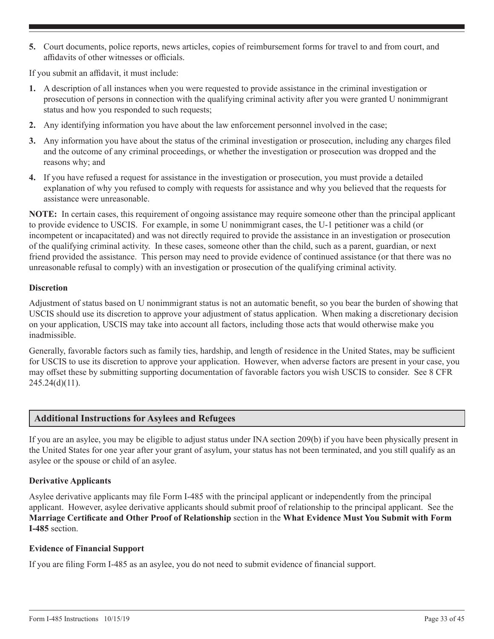<span id="page-32-0"></span>**5.** Court documents, police reports, news articles, copies of reimbursement forms for travel to and from court, and affidavits of other witnesses or officials.

If you submit an affidavit, it must include:

- **1.** A description of all instances when you were requested to provide assistance in the criminal investigation or prosecution of persons in connection with the qualifying criminal activity after you were granted U nonimmigrant status and how you responded to such requests;
- **2.** Any identifying information you have about the law enforcement personnel involved in the case;
- **3.** Any information you have about the status of the criminal investigation or prosecution, including any charges filed and the outcome of any criminal proceedings, or whether the investigation or prosecution was dropped and the reasons why; and
- **4.** If you have refused a request for assistance in the investigation or prosecution, you must provide a detailed explanation of why you refused to comply with requests for assistance and why you believed that the requests for assistance were unreasonable.

**NOTE:** In certain cases, this requirement of ongoing assistance may require someone other than the principal applicant to provide evidence to USCIS. For example, in some U nonimmigrant cases, the U-1 petitioner was a child (or incompetent or incapacitated) and was not directly required to provide the assistance in an investigation or prosecution of the qualifying criminal activity. In these cases, someone other than the child, such as a parent, guardian, or next friend provided the assistance. This person may need to provide evidence of continued assistance (or that there was no unreasonable refusal to comply) with an investigation or prosecution of the qualifying criminal activity.

## **Discretion**

Adjustment of status based on U nonimmigrant status is not an automatic benefit, so you bear the burden of showing that USCIS should use its discretion to approve your adjustment of status application. When making a discretionary decision on your application, USCIS may take into account all factors, including those acts that would otherwise make you inadmissible.

Generally, favorable factors such as family ties, hardship, and length of residence in the United States, may be sufficient for USCIS to use its discretion to approve your application. However, when adverse factors are present in your case, you may offset these by submitting supporting documentation of favorable factors you wish USCIS to consider. See 8 CFR  $245.24(d)(11)$ .

## **Additional Instructions for Asylees and Refugees**

If you are an asylee, you may be eligible to adjust status under INA section 209(b) if you have been physically present in the United States for one year after your grant of asylum, your status has not been terminated, and you still qualify as an asylee or the spouse or child of an asylee.

## **Derivative Applicants**

Asylee derivative applicants may file Form I-485 with the principal applicant or independently from the principal applicant. However, asylee derivative applicants should submit proof of relationship to the principal applicant. See the **Marriage Certificate and Other Proof of Relationship** section in the **What Evidence Must You Submit with Form I-485** section.

### **Evidence of Financial Support**

If you are filing Form I-485 as an asylee, you do not need to submit evidence of financial support.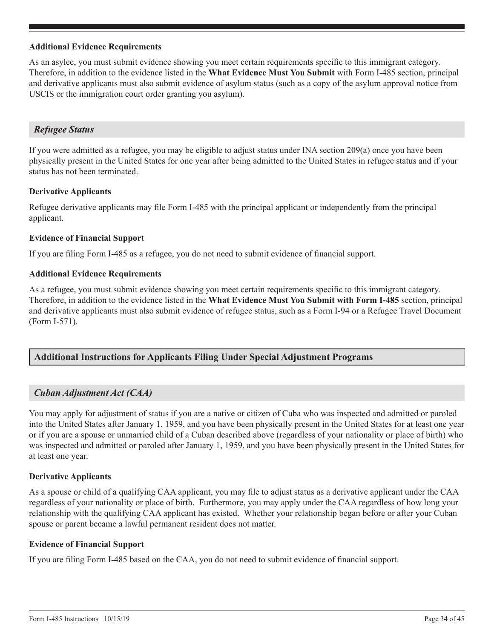### **Additional Evidence Requirements**

As an asylee, you must submit evidence showing you meet certain requirements specific to this immigrant category. Therefore, in addition to the evidence listed in the **What Evidence Must You Submit** with Form I-485 section, principal and derivative applicants must also submit evidence of asylum status (such as a copy of the asylum approval notice from USCIS or the immigration court order granting you asylum).

## *Refugee Status*

If you were admitted as a refugee, you may be eligible to adjust status under INA section 209(a) once you have been physically present in the United States for one year after being admitted to the United States in refugee status and if your status has not been terminated.

## **Derivative Applicants**

Refugee derivative applicants may file Form I-485 with the principal applicant or independently from the principal applicant.

## **Evidence of Financial Support**

If you are filing Form I-485 as a refugee, you do not need to submit evidence of financial support.

### **Additional Evidence Requirements**

As a refugee, you must submit evidence showing you meet certain requirements specific to this immigrant category. Therefore, in addition to the evidence listed in the **What Evidence Must You Submit with Form I-485** section, principal and derivative applicants must also submit evidence of refugee status, such as a Form I-94 or a Refugee Travel Document (Form I-571).

## **Additional Instructions for Applicants Filing Under Special Adjustment Programs**

## *Cuban Adjustment Act (CAA)*

You may apply for adjustment of status if you are a native or citizen of Cuba who was inspected and admitted or paroled into the United States after January 1, 1959, and you have been physically present in the United States for at least one year or if you are a spouse or unmarried child of a Cuban described above (regardless of your nationality or place of birth) who was inspected and admitted or paroled after January 1, 1959, and you have been physically present in the United States for at least one year.

### **Derivative Applicants**

As a spouse or child of a qualifying CAA applicant, you may file to adjust status as a derivative applicant under the CAA regardless of your nationality or place of birth. Furthermore, you may apply under the CAA regardless of how long your relationship with the qualifying CAA applicant has existed. Whether your relationship began before or after your Cuban spouse or parent became a lawful permanent resident does not matter.

### **Evidence of Financial Support**

If you are filing Form I-485 based on the CAA, you do not need to submit evidence of financial support.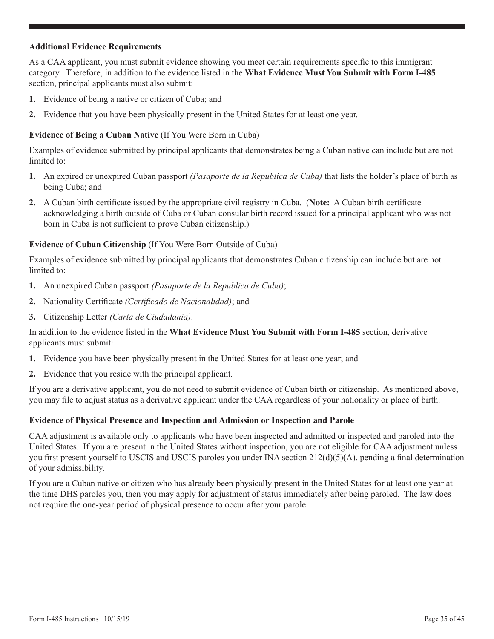## **Additional Evidence Requirements**

As a CAA applicant, you must submit evidence showing you meet certain requirements specific to this immigrant category. Therefore, in addition to the evidence listed in the **What Evidence Must You Submit with Form I-485** section, principal applicants must also submit:

- **1.** Evidence of being a native or citizen of Cuba; and
- **2.** Evidence that you have been physically present in the United States for at least one year.

## **Evidence of Being a Cuban Native** (If You Were Born in Cuba)

Examples of evidence submitted by principal applicants that demonstrates being a Cuban native can include but are not limited to:

- **1.** An expired or unexpired Cuban passport *(Pasaporte de la Republica de Cuba)* that lists the holder's place of birth as being Cuba; and
- **2.** A Cuban birth certificate issued by the appropriate civil registry in Cuba. (**Note:** A Cuban birth certificate acknowledging a birth outside of Cuba or Cuban consular birth record issued for a principal applicant who was not born in Cuba is not sufficient to prove Cuban citizenship.)

## **Evidence of Cuban Citizenship** (If You Were Born Outside of Cuba)

Examples of evidence submitted by principal applicants that demonstrates Cuban citizenship can include but are not limited to:

- **1.** An unexpired Cuban passport *(Pasaporte de la Republica de Cuba)*;
- **2.** Nationality Certificate *(Certificado de Nacionalidad)*; and
- **3.** Citizenship Letter *(Carta de Ciudadania)*.

## In addition to the evidence listed in the **What Evidence Must You Submit with Form I-485** section, derivative applicants must submit:

- **1.** Evidence you have been physically present in the United States for at least one year; and
- **2.** Evidence that you reside with the principal applicant.

If you are a derivative applicant, you do not need to submit evidence of Cuban birth or citizenship. As mentioned above, you may file to adjust status as a derivative applicant under the CAA regardless of your nationality or place of birth.

## **Evidence of Physical Presence and Inspection and Admission or Inspection and Parole**

CAA adjustment is available only to applicants who have been inspected and admitted or inspected and paroled into the United States. If you are present in the United States without inspection, you are not eligible for CAA adjustment unless you first present yourself to USCIS and USCIS paroles you under INA section 212(d)(5)(A), pending a final determination of your admissibility.

If you are a Cuban native or citizen who has already been physically present in the United States for at least one year at the time DHS paroles you, then you may apply for adjustment of status immediately after being paroled. The law does not require the one-year period of physical presence to occur after your parole.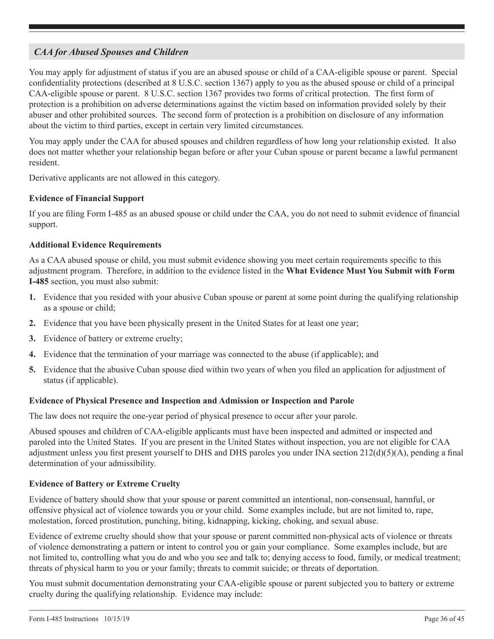## *CAA for Abused Spouses and Children*

You may apply for adjustment of status if you are an abused spouse or child of a CAA-eligible spouse or parent. Special confidentiality protections (described at 8 U.S.C. section 1367) apply to you as the abused spouse or child of a principal CAA-eligible spouse or parent. 8 U.S.C. section 1367 provides two forms of critical protection. The first form of protection is a prohibition on adverse determinations against the victim based on information provided solely by their abuser and other prohibited sources. The second form of protection is a prohibition on disclosure of any information about the victim to third parties, except in certain very limited circumstances.

You may apply under the CAA for abused spouses and children regardless of how long your relationship existed. It also does not matter whether your relationship began before or after your Cuban spouse or parent became a lawful permanent resident.

Derivative applicants are not allowed in this category.

## **Evidence of Financial Support**

If you are filing Form I-485 as an abused spouse or child under the CAA, you do not need to submit evidence of financial support.

## **Additional Evidence Requirements**

As a CAA abused spouse or child, you must submit evidence showing you meet certain requirements specific to this adjustment program. Therefore, in addition to the evidence listed in the **What Evidence Must You Submit with Form I-485** section, you must also submit:

- **1.** Evidence that you resided with your abusive Cuban spouse or parent at some point during the qualifying relationship as a spouse or child;
- **2.** Evidence that you have been physically present in the United States for at least one year;
- **3.** Evidence of battery or extreme cruelty;
- **4.** Evidence that the termination of your marriage was connected to the abuse (if applicable); and
- **5.** Evidence that the abusive Cuban spouse died within two years of when you filed an application for adjustment of status (if applicable).

### **Evidence of Physical Presence and Inspection and Admission or Inspection and Parole**

The law does not require the one-year period of physical presence to occur after your parole.

Abused spouses and children of CAA-eligible applicants must have been inspected and admitted or inspected and paroled into the United States. If you are present in the United States without inspection, you are not eligible for CAA adjustment unless you first present yourself to DHS and DHS paroles you under INA section 212(d)(5)(A), pending a final determination of your admissibility.

## **Evidence of Battery or Extreme Cruelty**

Evidence of battery should show that your spouse or parent committed an intentional, non-consensual, harmful, or offensive physical act of violence towards you or your child. Some examples include, but are not limited to, rape, molestation, forced prostitution, punching, biting, kidnapping, kicking, choking, and sexual abuse.

Evidence of extreme cruelty should show that your spouse or parent committed non-physical acts of violence or threats of violence demonstrating a pattern or intent to control you or gain your compliance. Some examples include, but are not limited to, controlling what you do and who you see and talk to; denying access to food, family, or medical treatment; threats of physical harm to you or your family; threats to commit suicide; or threats of deportation.

You must submit documentation demonstrating your CAA-eligible spouse or parent subjected you to battery or extreme cruelty during the qualifying relationship. Evidence may include: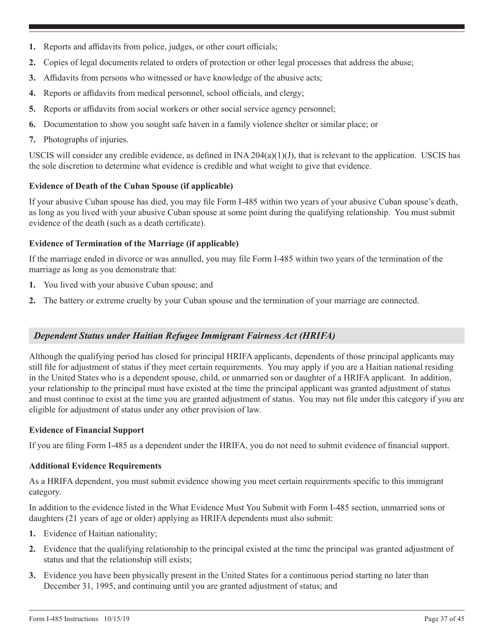- **1.** Reports and affidavits from police, judges, or other court officials;
- **2.** Copies of legal documents related to orders of protection or other legal processes that address the abuse;
- **3.** Affidavits from persons who witnessed or have knowledge of the abusive acts;
- **4.** Reports or affidavits from medical personnel, school officials, and clergy;
- **5.** Reports or affidavits from social workers or other social service agency personnel;
- **6.** Documentation to show you sought safe haven in a family violence shelter or similar place; or
- **7.** Photographs of injuries.

USCIS will consider any credible evidence, as defined in  $INA 204(a)(1)(J)$ , that is relevant to the application. USCIS has the sole discretion to determine what evidence is credible and what weight to give that evidence.

## **Evidence of Death of the Cuban Spouse (if applicable)**

If your abusive Cuban spouse has died, you may file Form I-485 within two years of your abusive Cuban spouse's death, as long as you lived with your abusive Cuban spouse at some point during the qualifying relationship. You must submit evidence of the death (such as a death certificate).

## **Evidence of Termination of the Marriage (if applicable)**

If the marriage ended in divorce or was annulled, you may file Form I-485 within two years of the termination of the marriage as long as you demonstrate that:

- **1.** You lived with your abusive Cuban spouse; and
- **2.** The battery or extreme cruelty by your Cuban spouse and the termination of your marriage are connected.

## *Dependent Status under Haitian Refugee Immigrant Fairness Act (HRIFA)*

Although the qualifying period has closed for principal HRIFA applicants, dependents of those principal applicants may still file for adjustment of status if they meet certain requirements. You may apply if you are a Haitian national residing in the United States who is a dependent spouse, child, or unmarried son or daughter of a HRIFA applicant. In addition, your relationship to the principal must have existed at the time the principal applicant was granted adjustment of status and must continue to exist at the time you are granted adjustment of status. You may not file under this category if you are eligible for adjustment of status under any other provision of law.

### **Evidence of Financial Support**

If you are filing Form I-485 as a dependent under the HRIFA, you do not need to submit evidence of financial support.

### **Additional Evidence Requirements**

As a HRIFA dependent, you must submit evidence showing you meet certain requirements specific to this immigrant category.

In addition to the evidence listed in the What Evidence Must You Submit with Form I-485 section, unmarried sons or daughters (21 years of age or older) applying as HRIFA dependents must also submit:

- **1.** Evidence of Haitian nationality;
- **2.** Evidence that the qualifying relationship to the principal existed at the time the principal was granted adjustment of status and that the relationship still exists;
- **3.** Evidence you have been physically present in the United States for a continuous period starting no later than December 31, 1995, and continuing until you are granted adjustment of status; and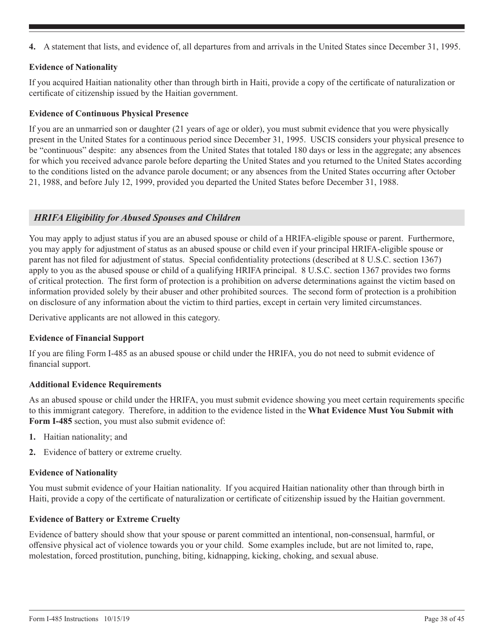**4.** A statement that lists, and evidence of, all departures from and arrivals in the United States since December 31, 1995.

## **Evidence of Nationality**

If you acquired Haitian nationality other than through birth in Haiti, provide a copy of the certificate of naturalization or certificate of citizenship issued by the Haitian government.

## **Evidence of Continuous Physical Presence**

If you are an unmarried son or daughter (21 years of age or older), you must submit evidence that you were physically present in the United States for a continuous period since December 31, 1995. USCIS considers your physical presence to be "continuous" despite: any absences from the United States that totaled 180 days or less in the aggregate; any absences for which you received advance parole before departing the United States and you returned to the United States according to the conditions listed on the advance parole document; or any absences from the United States occurring after October 21, 1988, and before July 12, 1999, provided you departed the United States before December 31, 1988.

## *HRIFA Eligibility for Abused Spouses and Children*

You may apply to adjust status if you are an abused spouse or child of a HRIFA-eligible spouse or parent. Furthermore, you may apply for adjustment of status as an abused spouse or child even if your principal HRIFA-eligible spouse or parent has not filed for adjustment of status. Special confidentiality protections (described at 8 U.S.C. section 1367) apply to you as the abused spouse or child of a qualifying HRIFA principal. 8 U.S.C. section 1367 provides two forms of critical protection. The first form of protection is a prohibition on adverse determinations against the victim based on information provided solely by their abuser and other prohibited sources. The second form of protection is a prohibition on disclosure of any information about the victim to third parties, except in certain very limited circumstances.

Derivative applicants are not allowed in this category.

## **Evidence of Financial Support**

If you are filing Form I-485 as an abused spouse or child under the HRIFA, you do not need to submit evidence of financial support.

### **Additional Evidence Requirements**

As an abused spouse or child under the HRIFA, you must submit evidence showing you meet certain requirements specific to this immigrant category. Therefore, in addition to the evidence listed in the **What Evidence Must You Submit with Form I-485** section, you must also submit evidence of:

- **1.** Haitian nationality; and
- **2.** Evidence of battery or extreme cruelty.

## **Evidence of Nationality**

You must submit evidence of your Haitian nationality. If you acquired Haitian nationality other than through birth in Haiti, provide a copy of the certificate of naturalization or certificate of citizenship issued by the Haitian government.

## **Evidence of Battery or Extreme Cruelty**

Evidence of battery should show that your spouse or parent committed an intentional, non-consensual, harmful, or offensive physical act of violence towards you or your child. Some examples include, but are not limited to, rape, molestation, forced prostitution, punching, biting, kidnapping, kicking, choking, and sexual abuse.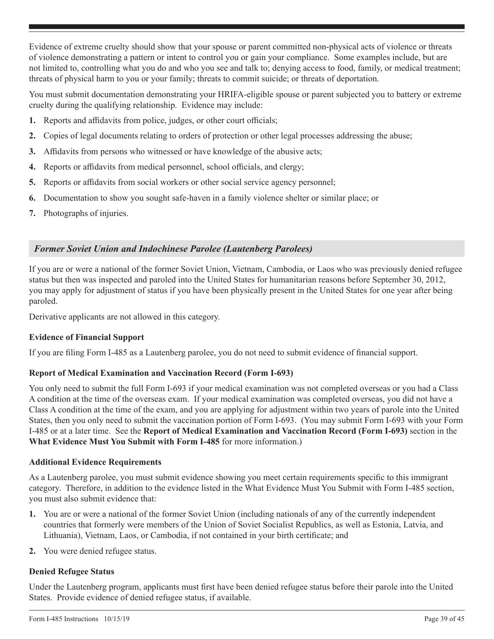Evidence of extreme cruelty should show that your spouse or parent committed non-physical acts of violence or threats of violence demonstrating a pattern or intent to control you or gain your compliance. Some examples include, but are not limited to, controlling what you do and who you see and talk to; denying access to food, family, or medical treatment; threats of physical harm to you or your family; threats to commit suicide; or threats of deportation.

You must submit documentation demonstrating your HRIFA-eligible spouse or parent subjected you to battery or extreme cruelty during the qualifying relationship. Evidence may include:

- **1.** Reports and affidavits from police, judges, or other court officials;
- **2.** Copies of legal documents relating to orders of protection or other legal processes addressing the abuse;
- **3.** Affidavits from persons who witnessed or have knowledge of the abusive acts;
- **4.** Reports or affidavits from medical personnel, school officials, and clergy;
- **5.** Reports or affidavits from social workers or other social service agency personnel;
- **6.** Documentation to show you sought safe-haven in a family violence shelter or similar place; or
- **7.** Photographs of injuries.

## *Former Soviet Union and Indochinese Parolee (Lautenberg Parolees)*

If you are or were a national of the former Soviet Union, Vietnam, Cambodia, or Laos who was previously denied refugee status but then was inspected and paroled into the United States for humanitarian reasons before September 30, 2012, you may apply for adjustment of status if you have been physically present in the United States for one year after being paroled.

Derivative applicants are not allowed in this category.

## **Evidence of Financial Support**

If you are filing Form I-485 as a Lautenberg parolee, you do not need to submit evidence of financial support.

## **Report of Medical Examination and Vaccination Record (Form I-693)**

You only need to submit the full Form I-693 if your medical examination was not completed overseas or you had a Class A condition at the time of the overseas exam. If your medical examination was completed overseas, you did not have a Class A condition at the time of the exam, and you are applying for adjustment within two years of parole into the United States, then you only need to submit the vaccination portion of Form I-693. (You may submit Form I-693 with your Form I-485 or at a later time. See the **Report of Medical Examination and Vaccination Record (Form I-693)** section in the **What Evidence Must You Submit with Form I-485** for more information.)

## **Additional Evidence Requirements**

As a Lautenberg parolee, you must submit evidence showing you meet certain requirements specific to this immigrant category. Therefore, in addition to the evidence listed in the What Evidence Must You Submit with Form I-485 section, you must also submit evidence that:

- **1.** You are or were a national of the former Soviet Union (including nationals of any of the currently independent countries that formerly were members of the Union of Soviet Socialist Republics, as well as Estonia, Latvia, and Lithuania), Vietnam, Laos, or Cambodia, if not contained in your birth certificate; and
- **2.** You were denied refugee status.

## **Denied Refugee Status**

Under the Lautenberg program, applicants must first have been denied refugee status before their parole into the United States. Provide evidence of denied refugee status, if available.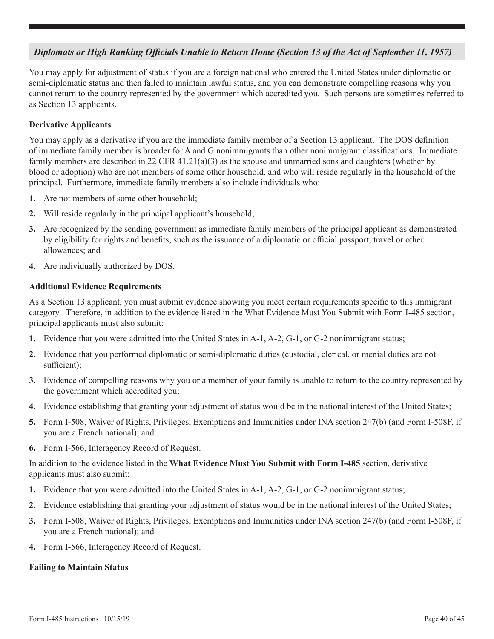## <span id="page-39-0"></span>*Diplomats or High Ranking Officials Unable to Return Home (Section 13 of the Act of September 11, 1957)*

You may apply for adjustment of status if you are a foreign national who entered the United States under diplomatic or semi-diplomatic status and then failed to maintain lawful status, and you can demonstrate compelling reasons why you cannot return to the country represented by the government which accredited you. Such persons are sometimes referred to as Section 13 applicants.

## **Derivative Applicants**

You may apply as a derivative if you are the immediate family member of a Section 13 applicant. The DOS definition of immediate family member is broader for A and G nonimmigrants than other nonimmigrant classifications. Immediate family members are described in 22 CFR 41.21(a)(3) as the spouse and unmarried sons and daughters (whether by blood or adoption) who are not members of some other household, and who will reside regularly in the household of the principal. Furthermore, immediate family members also include individuals who:

- **1.** Are not members of some other household;
- **2.** Will reside regularly in the principal applicant's household;
- **3.** Are recognized by the sending government as immediate family members of the principal applicant as demonstrated by eligibility for rights and benefits, such as the issuance of a diplomatic or official passport, travel or other allowances; and
- **4.** Are individually authorized by DOS.

## **Additional Evidence Requirements**

As a Section 13 applicant, you must submit evidence showing you meet certain requirements specific to this immigrant category. Therefore, in addition to the evidence listed in the What Evidence Must You Submit with Form I-485 section, principal applicants must also submit:

- **1.** Evidence that you were admitted into the United States in A-1, A-2, G-1, or G-2 nonimmigrant status;
- **2.** Evidence that you performed diplomatic or semi-diplomatic duties (custodial, clerical, or menial duties are not sufficient);
- **3.** Evidence of compelling reasons why you or a member of your family is unable to return to the country represented by the government which accredited you;
- **4.** Evidence establishing that granting your adjustment of status would be in the national interest of the United States;
- **5.** Form I-508, Waiver of Rights, Privileges, Exemptions and Immunities under INA section 247(b) (and Form I-508F, if you are a French national); and
- **6.** Form I-566, Interagency Record of Request.

In addition to the evidence listed in the **What Evidence Must You Submit with Form I-485** section, derivative applicants must also submit:

- **1.** Evidence that you were admitted into the United States in A-1, A-2, G-1, or G-2 nonimmigrant status;
- **2.** Evidence establishing that granting your adjustment of status would be in the national interest of the United States;
- **3.** Form I-508, Waiver of Rights, Privileges, Exemptions and Immunities under INA section 247(b) (and Form I-508F, if you are a French national); and
- **4.** Form I-566, Interagency Record of Request.

### **Failing to Maintain Status**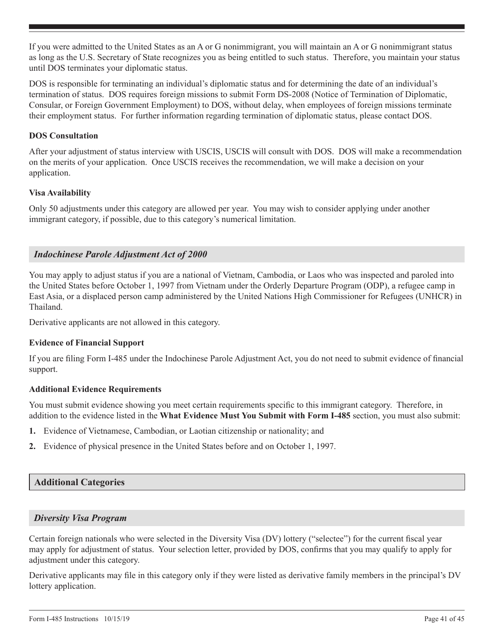If you were admitted to the United States as an A or G nonimmigrant, you will maintain an A or G nonimmigrant status as long as the U.S. Secretary of State recognizes you as being entitled to such status. Therefore, you maintain your status until DOS terminates your diplomatic status.

DOS is responsible for terminating an individual's diplomatic status and for determining the date of an individual's termination of status. DOS requires foreign missions to submit Form DS-2008 (Notice of Termination of Diplomatic, Consular, or Foreign Government Employment) to DOS, without delay, when employees of foreign missions terminate their employment status. For further information regarding termination of diplomatic status, please contact DOS.

## **DOS Consultation**

After your adjustment of status interview with USCIS, USCIS will consult with DOS. DOS will make a recommendation on the merits of your application. Once USCIS receives the recommendation, we will make a decision on your application.

## **Visa Availability**

Only 50 adjustments under this category are allowed per year. You may wish to consider applying under another immigrant category, if possible, due to this category's numerical limitation.

## *Indochinese Parole Adjustment Act of 2000*

You may apply to adjust status if you are a national of Vietnam, Cambodia, or Laos who was inspected and paroled into the United States before October 1, 1997 from Vietnam under the Orderly Departure Program (ODP), a refugee camp in East Asia, or a displaced person camp administered by the United Nations High Commissioner for Refugees (UNHCR) in Thailand.

Derivative applicants are not allowed in this category.

## **Evidence of Financial Support**

If you are filing Form I-485 under the Indochinese Parole Adjustment Act, you do not need to submit evidence of financial support.

### **Additional Evidence Requirements**

You must submit evidence showing you meet certain requirements specific to this immigrant category. Therefore, in addition to the evidence listed in the **What Evidence Must You Submit with Form I-485** section, you must also submit:

- **1.** Evidence of Vietnamese, Cambodian, or Laotian citizenship or nationality; and
- **2.** Evidence of physical presence in the United States before and on October 1, 1997.

## **Additional Categories**

## *Diversity Visa Program*

Certain foreign nationals who were selected in the Diversity Visa (DV) lottery ("selectee") for the current fiscal year may apply for adjustment of status. Your selection letter, provided by DOS, confirms that you may qualify to apply for adjustment under this category.

Derivative applicants may file in this category only if they were listed as derivative family members in the principal's DV lottery application.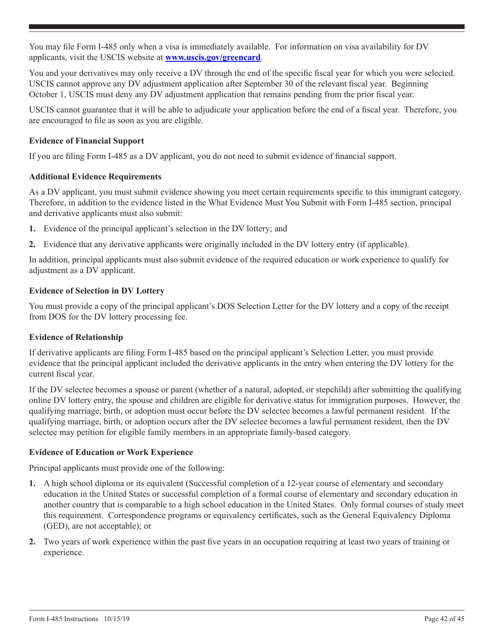You may file Form I-485 only when a visa is immediately available. For information on visa availability for DV applicants, visit the USCIS website at **www.uscis.gov/greencard**.

You and your derivatives may only receive a DV through the end of the specific fiscal year for which you were selected. USCIS cannot approve any DV adjustment application after September 30 of the relevant fiscal year. Beginning October 1, USCIS must deny any DV adjustment application that remains pending from the prior fiscal year.

USCIS cannot guarantee that it will be able to adjudicate your application before the end of a fiscal year. Therefore, you are encouraged to file as soon as you are eligible.

## **Evidence of Financial Support**

If you are filing Form I-485 as a DV applicant, you do not need to submit evidence of financial support.

### **Additional Evidence Requirements**

As a DV applicant, you must submit evidence showing you meet certain requirements specific to this immigrant category. Therefore, in addition to the evidence listed in the What Evidence Must You Submit with Form I-485 section, principal and derivative applicants must also submit:

- **1.** Evidence of the principal applicant's selection in the DV lottery; and
- **2.** Evidence that any derivative applicants were originally included in the DV lottery entry (if applicable).

In addition, principal applicants must also submit evidence of the required education or work experience to qualify for adjustment as a DV applicant.

## **Evidence of Selection in DV Lottery**

You must provide a copy of the principal applicant's DOS Selection Letter for the DV lottery and a copy of the receipt from DOS for the DV lottery processing fee.

## **Evidence of Relationship**

If derivative applicants are filing Form I-485 based on the principal applicant's Selection Letter, you must provide evidence that the principal applicant included the derivative applicants in the entry when entering the DV lottery for the current fiscal year.

If the DV selectee becomes a spouse or parent (whether of a natural, adopted, or stepchild) after submitting the qualifying online DV lottery entry, the spouse and children are eligible for derivative status for immigration purposes. However, the qualifying marriage, birth, or adoption must occur before the DV selectee becomes a lawful permanent resident. If the qualifying marriage, birth, or adoption occurs after the DV selectee becomes a lawful permanent resident, then the DV selectee may petition for eligible family members in an appropriate family-based category.

## **Evidence of Education or Work Experience**

Principal applicants must provide one of the following:

- **1.** A high school diploma or its equivalent (Successful completion of a 12-year course of elementary and secondary education in the United States or successful completion of a formal course of elementary and secondary education in another country that is comparable to a high school education in the United States. Only formal courses of study meet this requirement. Correspondence programs or equivalency certificates, such as the General Equivalency Diploma (GED), are not acceptable); or
- **2.** Two years of work experience within the past five years in an occupation requiring at least two years of training or experience.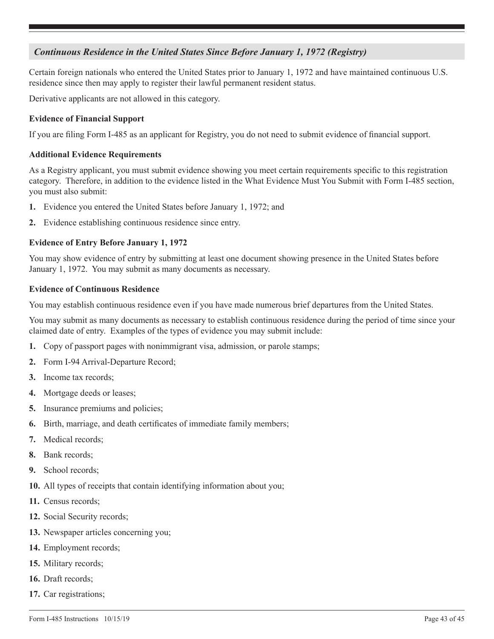## *Continuous Residence in the United States Since Before January 1, 1972 (Registry)*

Certain foreign nationals who entered the United States prior to January 1, 1972 and have maintained continuous U.S. residence since then may apply to register their lawful permanent resident status.

Derivative applicants are not allowed in this category.

## **Evidence of Financial Support**

If you are filing Form I-485 as an applicant for Registry, you do not need to submit evidence of financial support.

### **Additional Evidence Requirements**

As a Registry applicant, you must submit evidence showing you meet certain requirements specific to this registration category. Therefore, in addition to the evidence listed in the What Evidence Must You Submit with Form I-485 section, you must also submit:

- **1.** Evidence you entered the United States before January 1, 1972; and
- **2.** Evidence establishing continuous residence since entry.

## **Evidence of Entry Before January 1, 1972**

You may show evidence of entry by submitting at least one document showing presence in the United States before January 1, 1972. You may submit as many documents as necessary.

### **Evidence of Continuous Residence**

You may establish continuous residence even if you have made numerous brief departures from the United States.

You may submit as many documents as necessary to establish continuous residence during the period of time since your claimed date of entry. Examples of the types of evidence you may submit include:

- **1.** Copy of passport pages with nonimmigrant visa, admission, or parole stamps;
- **2.** Form I-94 Arrival-Departure Record;
- **3.** Income tax records;
- **4.** Mortgage deeds or leases;
- **5.** Insurance premiums and policies;
- **6.** Birth, marriage, and death certificates of immediate family members;
- **7.** Medical records;
- **8.** Bank records;
- **9.** School records;
- **10.** All types of receipts that contain identifying information about you;
- **11.** Census records;
- **12.** Social Security records;
- **13.** Newspaper articles concerning you;
- **14.** Employment records;
- **15.** Military records;
- **16.** Draft records;
- **17.** Car registrations;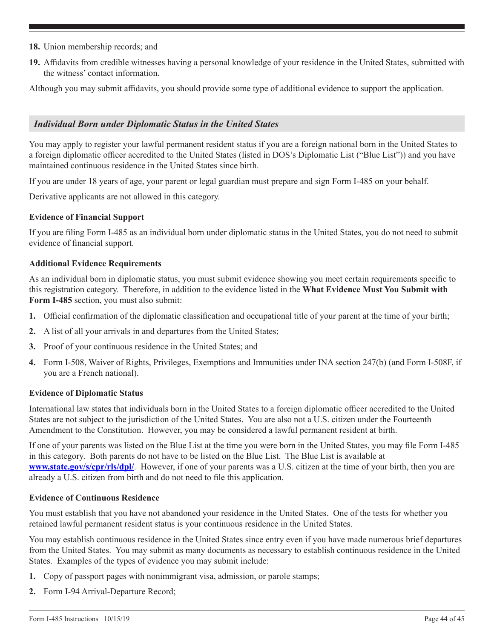- **18.** Union membership records; and
- **19.** Affidavits from credible witnesses having a personal knowledge of your residence in the United States, submitted with the witness' contact information.

Although you may submit affidavits, you should provide some type of additional evidence to support the application.

### *Individual Born under Diplomatic Status in the United States*

You may apply to register your lawful permanent resident status if you are a foreign national born in the United States to a foreign diplomatic officer accredited to the United States (listed in DOS's Diplomatic List ("Blue List")) and you have maintained continuous residence in the United States since birth.

If you are under 18 years of age, your parent or legal guardian must prepare and sign Form I-485 on your behalf.

Derivative applicants are not allowed in this category.

## **Evidence of Financial Support**

If you are filing Form I-485 as an individual born under diplomatic status in the United States, you do not need to submit evidence of financial support.

### **Additional Evidence Requirements**

As an individual born in diplomatic status, you must submit evidence showing you meet certain requirements specific to this registration category. Therefore, in addition to the evidence listed in the **What Evidence Must You Submit with Form I-485** section, you must also submit:

- **1.** Official confirmation of the diplomatic classification and occupational title of your parent at the time of your birth;
- **2.** A list of all your arrivals in and departures from the United States;
- **3.** Proof of your continuous residence in the United States; and
- **4.** Form I-508, Waiver of Rights, Privileges, Exemptions and Immunities under INA section 247(b) (and Form I-508F, if you are a French national).

### **Evidence of Diplomatic Status**

International law states that individuals born in the United States to a foreign diplomatic officer accredited to the United States are not subject to the jurisdiction of the United States. You are also not a U.S. citizen under the Fourteenth Amendment to the Constitution. However, you may be considered a lawful permanent resident at birth.

If one of your parents was listed on the Blue List at the time you were born in the United States, you may file Form I-485 in this category. Both parents do not have to be listed on the Blue List. The Blue List is available at **www.state.gov/s/cpr/rls/dpl/**. However, if one of your parents was a U.S. citizen at the time of your birth, then you are already a U.S. citizen from birth and do not need to file this application.

### **Evidence of Continuous Residence**

You must establish that you have not abandoned your residence in the United States. One of the tests for whether you retained lawful permanent resident status is your continuous residence in the United States.

You may establish continuous residence in the United States since entry even if you have made numerous brief departures from the United States. You may submit as many documents as necessary to establish continuous residence in the United States. Examples of the types of evidence you may submit include:

- **1.** Copy of passport pages with nonimmigrant visa, admission, or parole stamps;
- **2.** Form I-94 Arrival-Departure Record;